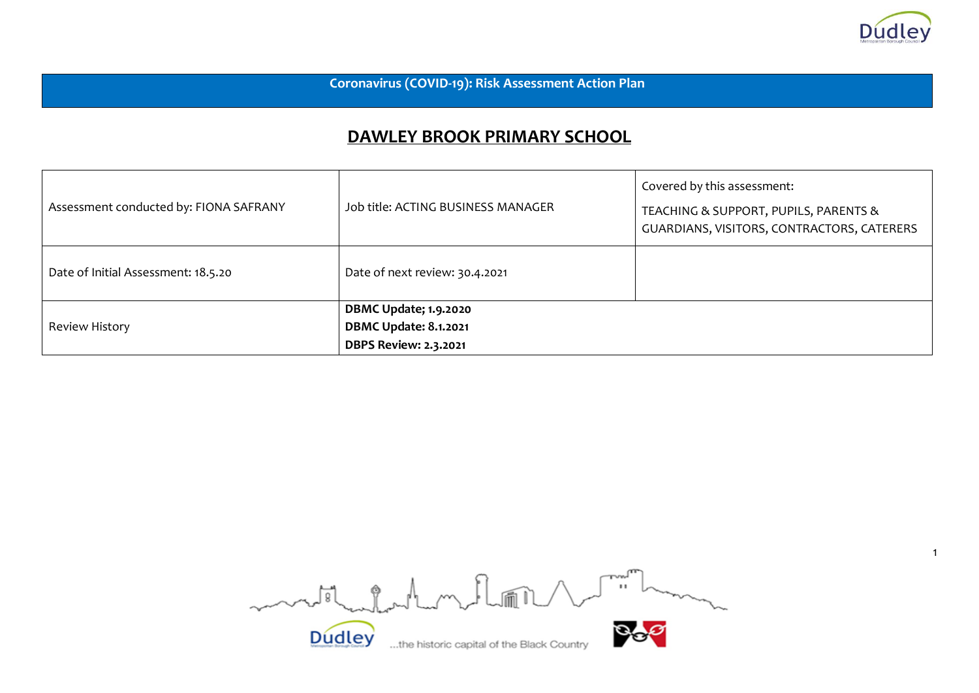

**Coronavirus (COVID-19): Risk Assessment Action Plan** 

## **DAWLEY BROOK PRIMARY SCHOOL**

| Assessment conducted by: FIONA SAFRANY | Job title: ACTING BUSINESS MANAGER                                                           | Covered by this assessment:<br>TEACHING & SUPPORT, PUPILS, PARENTS &<br>GUARDIANS, VISITORS, CONTRACTORS, CATERERS |
|----------------------------------------|----------------------------------------------------------------------------------------------|--------------------------------------------------------------------------------------------------------------------|
| Date of Initial Assessment: 18.5.20    | Date of next review: 30.4.2021                                                               |                                                                                                                    |
| Review History                         | <b>DBMC Update; 1.9.2020</b><br><b>DBMC Update: 8.1.2021</b><br><b>DBPS Review: 2.3.2021</b> |                                                                                                                    |

Dudley ....the historic capital of the Black Country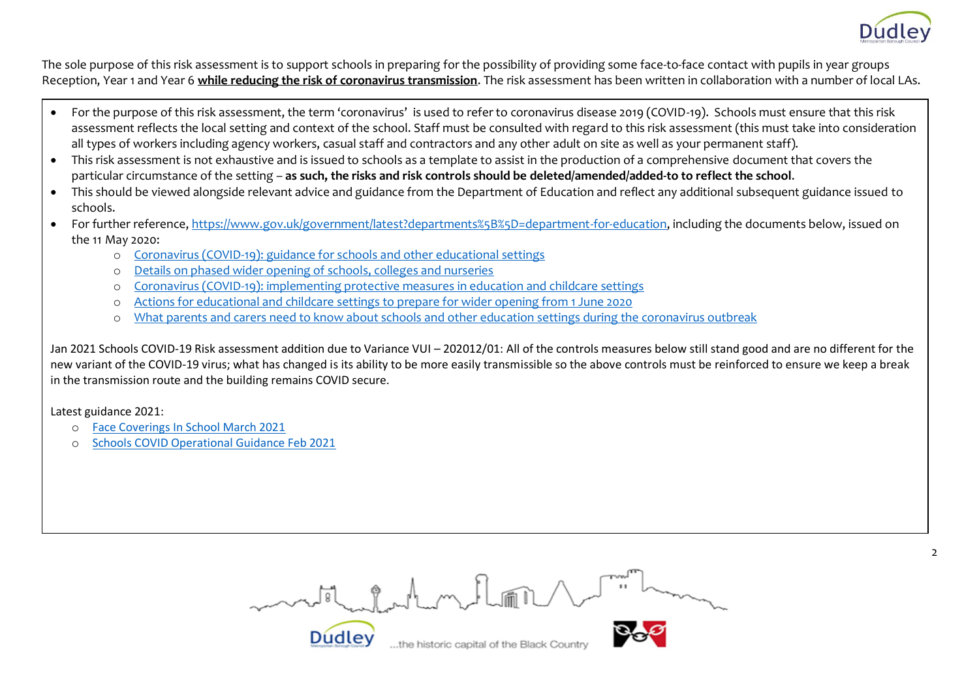

The sole purpose of this risk assessment is to support schools in preparing for the possibility of providing some face-to-face contact with pupils in year groups Reception, Year 1 and Year 6 **while reducing the risk of coronavirus transmission**. The risk assessment has been written in collaboration with a number of local LAs.

- For the purpose of this risk assessment, the term 'coronavirus' is used to refer to coronavirus disease 2019 (COVID-19). Schools must ensure that this risk assessment reflects the local setting and context of the school. Staff must be consulted with regard to this risk assessment (this must take into consideration all types of workers including agency workers, casual staff and contractors and any other adult on site as well as your permanent staff).
- This risk assessment is not exhaustive and is issued to schools as a template to assist in the production of a comprehensive document that covers the particular circumstance of the setting – **as such, the risks and risk controls should be deleted/amended/added-to to reflect the school**.
- This should be viewed alongside relevant advice and guidance from the Department of Education and reflect any additional subsequent guidance issued to schools.
- For further reference, [https://www.gov.uk/government/latest?departments%5B%5D=department-for-education,](https://www.gov.uk/government/latest?departments%5B%5D=department-for-education) including the documents below, issued on the 11 May 2020:
	- o [Coronavirus \(COVID-19\): guidance for schools and other educational settings](https://www.gov.uk/government/collections/coronavirus-covid-19-guidance-for-schools-and-other-educational-settings)
	- o [Details on phased wider opening of schools, colleges and nurseries](https://www.gov.uk/government/news/details-on-phased-wider-opening-of-schools-colleges-and-nurseries)
	- o [Coronavirus \(COVID-19\): implementing protective measures in education and childcare settings](https://www.gov.uk/government/publications/coronavirus-covid-19-implementing-protective-measures-in-education-and-childcare-settings)
	- o [Actions for educational and childcare settings to prepare for wider opening from 1 June 2020](https://www.gov.uk/government/publications/actions-for-educational-and-childcare-settings-to-prepare-for-wider-opening-from-1-june-2020)
	- o [What parents and carers need to know about schools and other education settings during the coronavirus outbreak](https://www.gov.uk/government/publications/closure-of-educational-settings-information-for-parents-and-carers)

Jan 2021 Schools COVID-19 Risk assessment addition due to Variance VUI – 202012/01: All of the controls measures below still stand good and are no different for the new variant of the COVID-19 virus; what has changed is its ability to be more easily transmissible so the above controls must be reinforced to ensure we keep a break in the transmission route and the building remains COVID secure.

Latest guidance 2021:

- o [Face Coverings In School March 2021](https://assets.publishing.service.gov.uk/government/uploads/system/uploads/attachment_data/file/965446/Face_coverings_in_education_-_March_2021.pdf)
- o [Schools COVID Operational Guidance Feb 2021](https://assets.publishing.service.gov.uk/government/uploads/system/uploads/attachment_data/file/964351/Schools_coronavirus_operational_guidance.pdf)

model chatron Rom

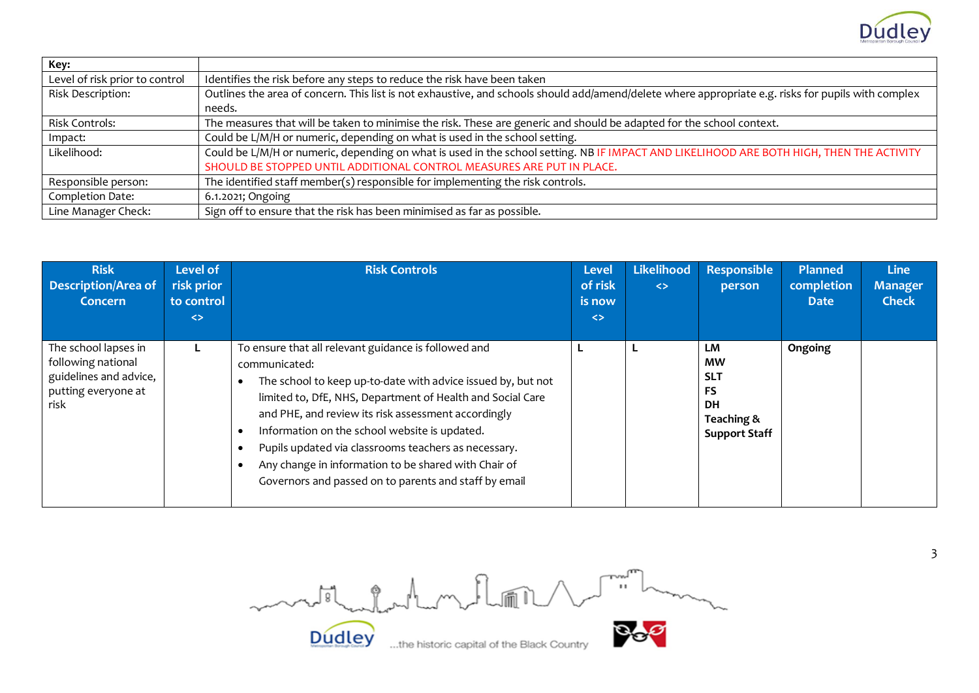

| Key:                           |                                                                                                                                                     |
|--------------------------------|-----------------------------------------------------------------------------------------------------------------------------------------------------|
| Level of risk prior to control | Identifies the risk before any steps to reduce the risk have been taken                                                                             |
| Risk Description:              | Outlines the area of concern. This list is not exhaustive, and schools should add/amend/delete where appropriate e.g. risks for pupils with complex |
|                                | needs.                                                                                                                                              |
| Risk Controls:                 | The measures that will be taken to minimise the risk. These are generic and should be adapted for the school context.                               |
| Impact:                        | Could be L/M/H or numeric, depending on what is used in the school setting.                                                                         |
| Likelihood:                    | Could be L/M/H or numeric, depending on what is used in the school setting. NB IF IMPACT AND LIKELIHOOD ARE BOTH HIGH, THEN THE ACTIVITY            |
|                                | SHOULD BE STOPPED UNTIL ADDITIONAL CONTROL MEASURES ARE PUT IN PLACE.                                                                               |
| Responsible person:            | The identified staff member(s) responsible for implementing the risk controls.                                                                      |
| Completion Date:               | 6.1.2021; Ongoing                                                                                                                                   |
| Line Manager Check:            | Sign off to ensure that the risk has been minimised as far as possible.                                                                             |

| <b>Risk</b><br><b>Description/Area of</b><br>Concern                                                | Level of<br>risk prior<br>to control<br>$\leftrightarrow$ | <b>Risk Controls</b>                                                                                                                                                                                                                                                                                                                                                                                                                                                                 | <b>Level</b><br>of risk<br>is now<br>$\leftrightarrow$ | Likelihood<br>$\leq$ | Responsible<br>person                                                                         | <b>Planned</b><br>completion<br><b>Date</b> | <b>Line</b><br><b>Manager</b><br><b>Check</b> |
|-----------------------------------------------------------------------------------------------------|-----------------------------------------------------------|--------------------------------------------------------------------------------------------------------------------------------------------------------------------------------------------------------------------------------------------------------------------------------------------------------------------------------------------------------------------------------------------------------------------------------------------------------------------------------------|--------------------------------------------------------|----------------------|-----------------------------------------------------------------------------------------------|---------------------------------------------|-----------------------------------------------|
| The school lapses in<br>following national<br>guidelines and advice,<br>putting everyone at<br>risk |                                                           | To ensure that all relevant guidance is followed and<br>communicated:<br>The school to keep up-to-date with advice issued by, but not<br>limited to, DfE, NHS, Department of Health and Social Care<br>and PHE, and review its risk assessment accordingly<br>Information on the school website is updated.<br>Pupils updated via classrooms teachers as necessary.<br>Any change in information to be shared with Chair of<br>Governors and passed on to parents and staff by email |                                                        |                      | <b>LM</b><br><b>MW</b><br><b>SLT</b><br>FS<br><b>DH</b><br>Teaching &<br><b>Support Staff</b> | Ongoing                                     |                                               |

Dudley ....the historic capital of the Black Country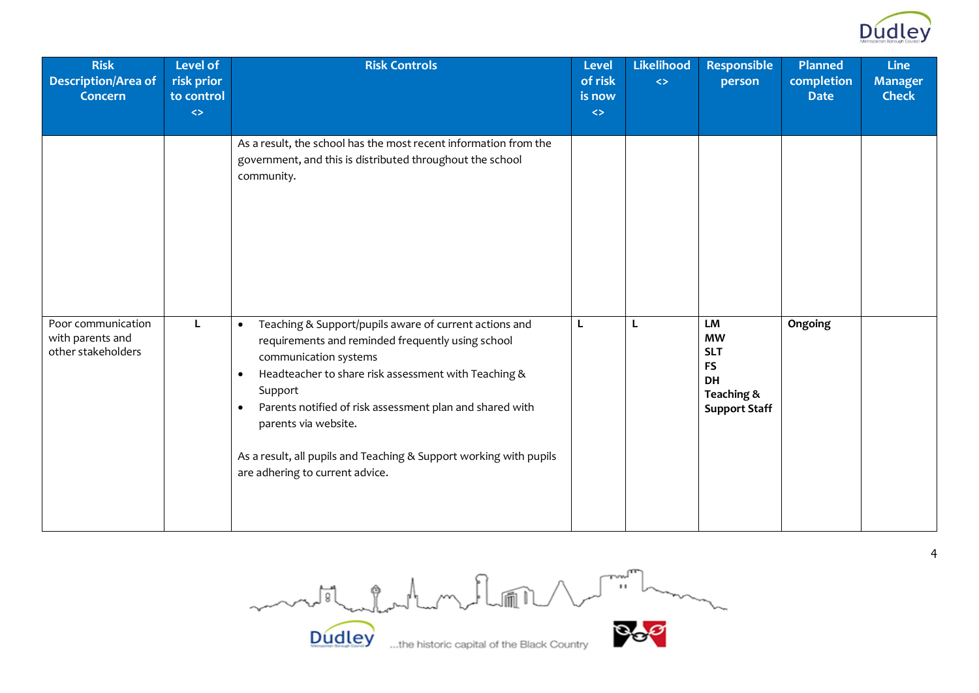

| <b>Risk</b><br><b>Description/Area of</b><br><b>Concern</b>  | <b>Level of</b><br>risk prior<br>to control | <b>Risk Controls</b>                                                                                                                                                                                                                                                                                                                                                                                                           | <b>Level</b><br>of risk<br>is now | Likelihood<br>$\Leftrightarrow$ | <b>Responsible</b><br>person                                                           | <b>Planned</b><br>completion<br><b>Date</b> | <b>Line</b><br><b>Manager</b><br><b>Check</b> |
|--------------------------------------------------------------|---------------------------------------------|--------------------------------------------------------------------------------------------------------------------------------------------------------------------------------------------------------------------------------------------------------------------------------------------------------------------------------------------------------------------------------------------------------------------------------|-----------------------------------|---------------------------------|----------------------------------------------------------------------------------------|---------------------------------------------|-----------------------------------------------|
|                                                              | $\Leftrightarrow$                           |                                                                                                                                                                                                                                                                                                                                                                                                                                | $\Leftrightarrow$                 |                                 |                                                                                        |                                             |                                               |
|                                                              |                                             | As a result, the school has the most recent information from the<br>government, and this is distributed throughout the school<br>community.                                                                                                                                                                                                                                                                                    |                                   |                                 |                                                                                        |                                             |                                               |
| Poor communication<br>with parents and<br>other stakeholders | L                                           | Teaching & Support/pupils aware of current actions and<br>$\bullet$<br>requirements and reminded frequently using school<br>communication systems<br>Headteacher to share risk assessment with Teaching &<br>Support<br>Parents notified of risk assessment plan and shared with<br>$\bullet$<br>parents via website.<br>As a result, all pupils and Teaching & Support working with pupils<br>are adhering to current advice. | L                                 | L                               | LM<br><b>MW</b><br><b>SLT</b><br><b>FS</b><br>DH<br>Teaching &<br><b>Support Staff</b> | Ongoing                                     |                                               |

Dudley ... the historic capital of the Black Country Dudley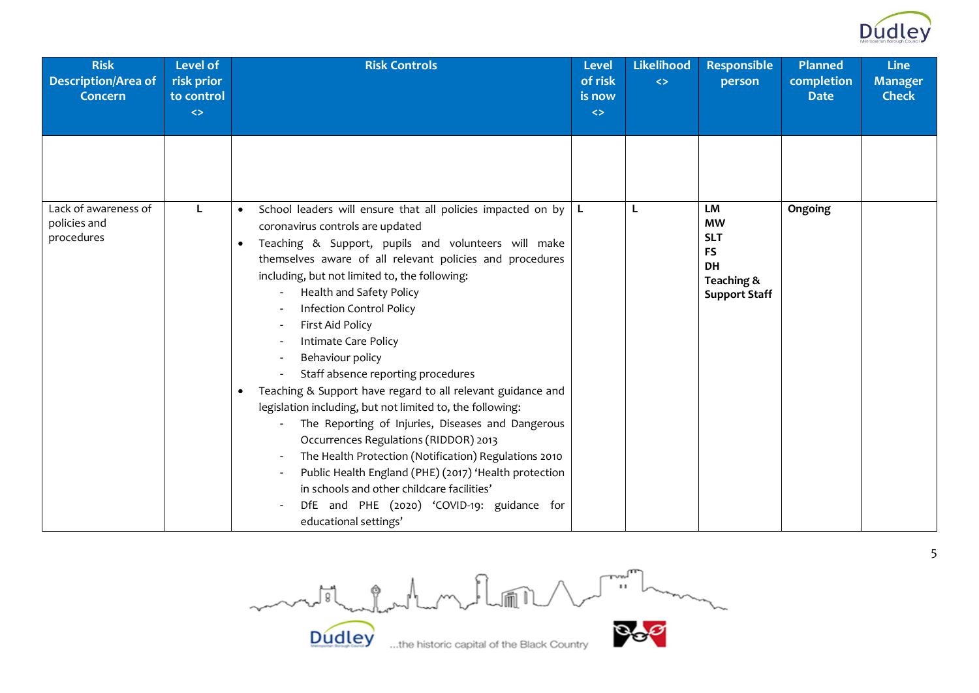

| <b>Risk</b><br><b>Description/Area of</b><br><b>Concern</b> | <b>Level of</b><br>risk prior<br>to control<br>$\leftrightarrow$ | <b>Risk Controls</b>                                                                                                                                                                                                                                                                                                                                                                                                                                                       | <b>Level</b><br>of risk<br>is now<br>$\Leftrightarrow$ | <b>Likelihood</b><br>$\leftrightarrow$ | <b>Responsible</b><br>person                                               | <b>Planned</b><br>completion<br><b>Date</b> | <b>Line</b><br><b>Manager</b><br><b>Check</b> |
|-------------------------------------------------------------|------------------------------------------------------------------|----------------------------------------------------------------------------------------------------------------------------------------------------------------------------------------------------------------------------------------------------------------------------------------------------------------------------------------------------------------------------------------------------------------------------------------------------------------------------|--------------------------------------------------------|----------------------------------------|----------------------------------------------------------------------------|---------------------------------------------|-----------------------------------------------|
| Lack of awareness of                                        |                                                                  | School leaders will ensure that all policies impacted on by $ L $                                                                                                                                                                                                                                                                                                                                                                                                          |                                                        | L                                      | <b>LM</b><br><b>MW</b>                                                     | Ongoing                                     |                                               |
| policies and<br>procedures                                  |                                                                  | coronavirus controls are updated<br>Teaching & Support, pupils and volunteers will make<br>$\bullet$<br>themselves aware of all relevant policies and procedures<br>including, but not limited to, the following:<br>Health and Safety Policy<br><b>Infection Control Policy</b><br>First Aid Policy<br>Intimate Care Policy<br>Behaviour policy<br>Staff absence reporting procedures                                                                                     |                                                        |                                        | <b>SLT</b><br><b>FS</b><br><b>DH</b><br>Teaching &<br><b>Support Staff</b> |                                             |                                               |
|                                                             |                                                                  | Teaching & Support have regard to all relevant guidance and<br>$\bullet$<br>legislation including, but not limited to, the following:<br>The Reporting of Injuries, Diseases and Dangerous<br>Occurrences Regulations (RIDDOR) 2013<br>The Health Protection (Notification) Regulations 2010<br>Public Health England (PHE) (2017) 'Health protection<br>in schools and other childcare facilities'<br>DfE and PHE (2020) 'COVID-19: guidance for<br>educational settings' |                                                        |                                        |                                                                            |                                             |                                               |

motherholment of **Dudley**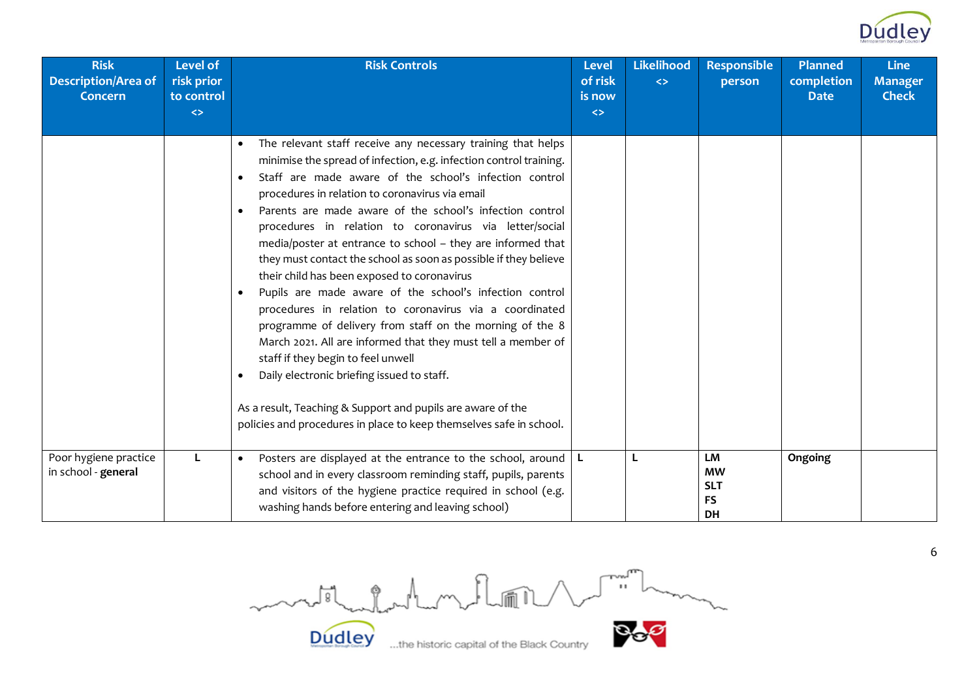

| <b>Risk</b><br><b>Description/Area of</b><br><b>Concern</b> | Level of<br>risk prior<br>to control<br>$\leftrightarrow$ | <b>Risk Controls</b>                                                                                                                                                                                                                                                                                                                                                                                                                                                                                                                                                                                                                                                                                                                                                                                                                                                                                                                                                                                                                                           | <b>Level</b><br>of risk<br>is now<br>$\leftrightarrow$ | <b>Likelihood</b><br>$\leftrightarrow$ | <b>Responsible</b><br>person                            | <b>Planned</b><br>completion<br><b>Date</b> | <b>Line</b><br><b>Manager</b><br><b>Check</b> |
|-------------------------------------------------------------|-----------------------------------------------------------|----------------------------------------------------------------------------------------------------------------------------------------------------------------------------------------------------------------------------------------------------------------------------------------------------------------------------------------------------------------------------------------------------------------------------------------------------------------------------------------------------------------------------------------------------------------------------------------------------------------------------------------------------------------------------------------------------------------------------------------------------------------------------------------------------------------------------------------------------------------------------------------------------------------------------------------------------------------------------------------------------------------------------------------------------------------|--------------------------------------------------------|----------------------------------------|---------------------------------------------------------|---------------------------------------------|-----------------------------------------------|
|                                                             |                                                           |                                                                                                                                                                                                                                                                                                                                                                                                                                                                                                                                                                                                                                                                                                                                                                                                                                                                                                                                                                                                                                                                |                                                        |                                        |                                                         |                                             |                                               |
|                                                             |                                                           | The relevant staff receive any necessary training that helps<br>minimise the spread of infection, e.g. infection control training.<br>Staff are made aware of the school's infection control<br>$\bullet$<br>procedures in relation to coronavirus via email<br>Parents are made aware of the school's infection control<br>$\bullet$<br>procedures in relation to coronavirus via letter/social<br>media/poster at entrance to school - they are informed that<br>they must contact the school as soon as possible if they believe<br>their child has been exposed to coronavirus<br>Pupils are made aware of the school's infection control<br>procedures in relation to coronavirus via a coordinated<br>programme of delivery from staff on the morning of the 8<br>March 2021. All are informed that they must tell a member of<br>staff if they begin to feel unwell<br>Daily electronic briefing issued to staff.<br>As a result, Teaching & Support and pupils are aware of the<br>policies and procedures in place to keep themselves safe in school. |                                                        |                                        |                                                         |                                             |                                               |
| Poor hygiene practice<br>in school - general                | L                                                         | Posters are displayed at the entrance to the school, around $ L $<br>$\bullet$<br>school and in every classroom reminding staff, pupils, parents<br>and visitors of the hygiene practice required in school (e.g.<br>washing hands before entering and leaving school)                                                                                                                                                                                                                                                                                                                                                                                                                                                                                                                                                                                                                                                                                                                                                                                         |                                                        | L                                      | LM<br><b>MW</b><br><b>SLT</b><br><b>FS</b><br><b>DH</b> | Ongoing                                     |                                               |

Country **Bog** month for home flow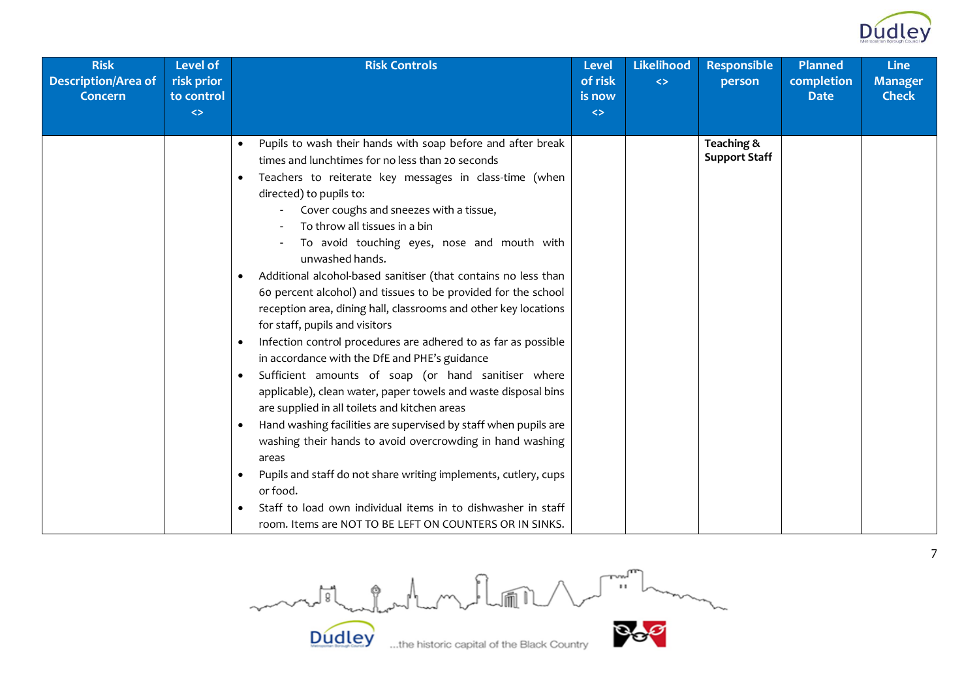

| <b>Risk</b><br><b>Description/Area of</b><br>Concern | <b>Level of</b><br>risk prior<br>to control<br>$\Leftrightarrow$ | <b>Risk Controls</b>                                                                                                                                                                                                                                                                                                                                                                                                                                                                                                                                                                                                                                                                                                                                                                                                                                                                                                                                                                                                                                                                                                                                                                                                                                                                                                     | <b>Level</b><br>of risk<br>is now<br>$\Leftrightarrow$ | <b>Likelihood</b><br>$\leftrightarrow$ | <b>Responsible</b><br>person       | <b>Planned</b><br>completion<br><b>Date</b> | <b>Line</b><br><b>Manager</b><br><b>Check</b> |
|------------------------------------------------------|------------------------------------------------------------------|--------------------------------------------------------------------------------------------------------------------------------------------------------------------------------------------------------------------------------------------------------------------------------------------------------------------------------------------------------------------------------------------------------------------------------------------------------------------------------------------------------------------------------------------------------------------------------------------------------------------------------------------------------------------------------------------------------------------------------------------------------------------------------------------------------------------------------------------------------------------------------------------------------------------------------------------------------------------------------------------------------------------------------------------------------------------------------------------------------------------------------------------------------------------------------------------------------------------------------------------------------------------------------------------------------------------------|--------------------------------------------------------|----------------------------------------|------------------------------------|---------------------------------------------|-----------------------------------------------|
|                                                      |                                                                  | Pupils to wash their hands with soap before and after break<br>times and lunchtimes for no less than 20 seconds<br>Teachers to reiterate key messages in class-time (when<br>$\bullet$<br>directed) to pupils to:<br>Cover coughs and sneezes with a tissue,<br>To throw all tissues in a bin<br>To avoid touching eyes, nose and mouth with<br>unwashed hands.<br>Additional alcohol-based sanitiser (that contains no less than<br>60 percent alcohol) and tissues to be provided for the school<br>reception area, dining hall, classrooms and other key locations<br>for staff, pupils and visitors<br>Infection control procedures are adhered to as far as possible<br>$\bullet$<br>in accordance with the DfE and PHE's guidance<br>Sufficient amounts of soap (or hand sanitiser where<br>$\bullet$<br>applicable), clean water, paper towels and waste disposal bins<br>are supplied in all toilets and kitchen areas<br>Hand washing facilities are supervised by staff when pupils are<br>$\bullet$<br>washing their hands to avoid overcrowding in hand washing<br>areas<br>Pupils and staff do not share writing implements, cutlery, cups<br>$\bullet$<br>or food.<br>Staff to load own individual items in to dishwasher in staff<br>$\bullet$<br>room. Items are NOT TO BE LEFT ON COUNTERS OR IN SINKS. |                                                        |                                        | Teaching &<br><b>Support Staff</b> |                                             |                                               |

motherholment of **Dudley** 

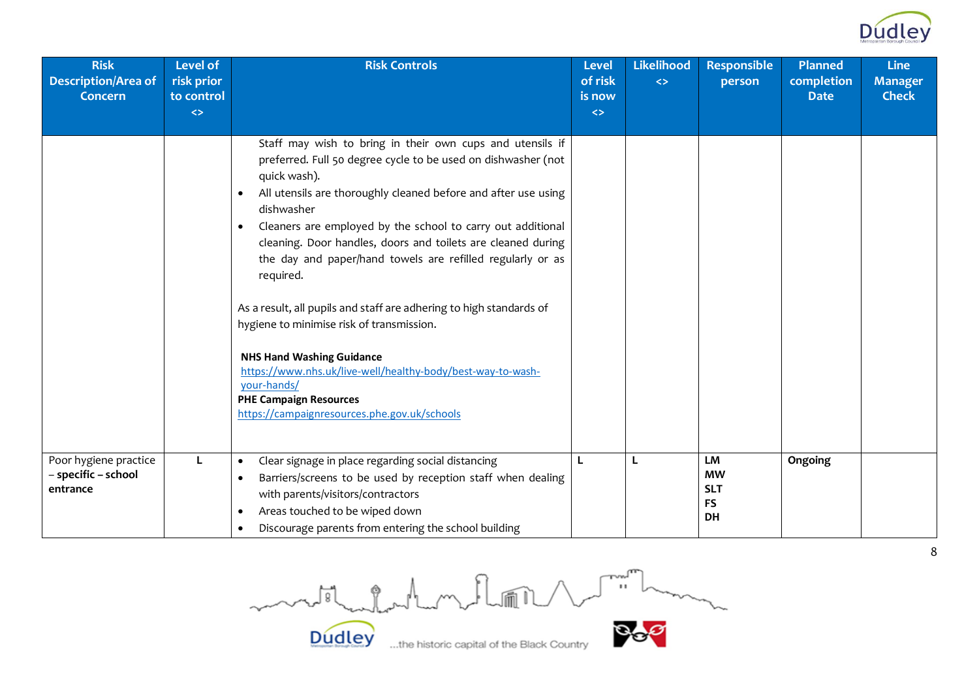

| <b>Risk</b><br><b>Description/Area of</b><br><b>Concern</b> | <b>Level of</b><br>risk prior<br>to control<br>$\leftrightarrow$ | <b>Risk Controls</b>                                                                                                                                                                                                                                                                                                                                                                                                                                                                                                                                                                                                                                                                                                                                                                  | <b>Level</b><br>of risk<br>is now<br>$\Leftrightarrow$ | Likelihood<br>$\leftrightarrow$ | <b>Responsible</b><br>person                                   | <b>Planned</b><br>completion<br><b>Date</b> | <b>Line</b><br><b>Manager</b><br><b>Check</b> |
|-------------------------------------------------------------|------------------------------------------------------------------|---------------------------------------------------------------------------------------------------------------------------------------------------------------------------------------------------------------------------------------------------------------------------------------------------------------------------------------------------------------------------------------------------------------------------------------------------------------------------------------------------------------------------------------------------------------------------------------------------------------------------------------------------------------------------------------------------------------------------------------------------------------------------------------|--------------------------------------------------------|---------------------------------|----------------------------------------------------------------|---------------------------------------------|-----------------------------------------------|
|                                                             |                                                                  | Staff may wish to bring in their own cups and utensils if<br>preferred. Full 50 degree cycle to be used on dishwasher (not<br>quick wash).<br>All utensils are thoroughly cleaned before and after use using<br>$\bullet$<br>dishwasher<br>Cleaners are employed by the school to carry out additional<br>$\bullet$<br>cleaning. Door handles, doors and toilets are cleaned during<br>the day and paper/hand towels are refilled regularly or as<br>required.<br>As a result, all pupils and staff are adhering to high standards of<br>hygiene to minimise risk of transmission.<br><b>NHS Hand Washing Guidance</b><br>https://www.nhs.uk/live-well/healthy-body/best-way-to-wash-<br>your-hands/<br><b>PHE Campaign Resources</b><br>https://campaignresources.phe.gov.uk/schools |                                                        |                                 |                                                                |                                             |                                               |
| Poor hygiene practice<br>- specific - school<br>entrance    | L                                                                | Clear signage in place regarding social distancing<br>$\bullet$<br>Barriers/screens to be used by reception staff when dealing<br>$\bullet$<br>with parents/visitors/contractors<br>Areas touched to be wiped down<br>$\bullet$<br>Discourage parents from entering the school building                                                                                                                                                                                                                                                                                                                                                                                                                                                                                               | L                                                      | L                               | <b>LM</b><br><b>MW</b><br><b>SLT</b><br><b>FS</b><br><b>DH</b> | Ongoing                                     |                                               |

Country **Bog** mother holmes Rom

**Dudley** 

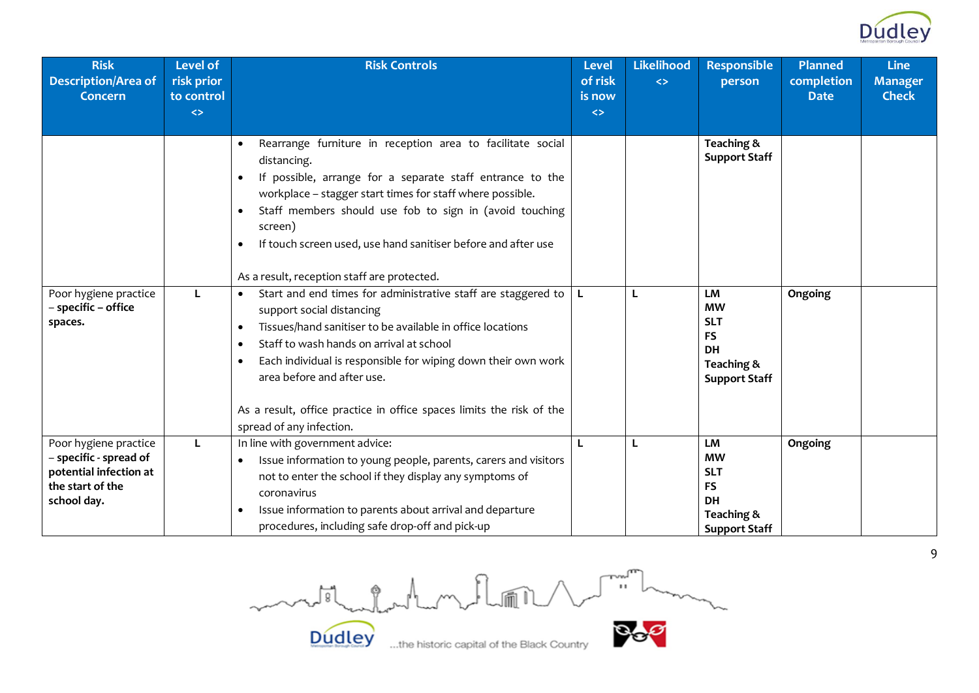

| <b>Risk</b><br>Description/Area of<br><b>Concern</b>                                                         | <b>Level of</b><br>risk prior<br>to control<br>$\leftrightarrow$ | <b>Risk Controls</b>                                                                                                                                                                                                                                                                                                                                                                                                                           | <b>Level</b><br>of risk<br>is now<br>$\Leftrightarrow$ | <b>Likelihood</b><br>$\leftrightarrow$ | <b>Responsible</b><br>person                                                                  | <b>Planned</b><br>completion<br><b>Date</b> | <b>Line</b><br><b>Manager</b><br><b>Check</b> |
|--------------------------------------------------------------------------------------------------------------|------------------------------------------------------------------|------------------------------------------------------------------------------------------------------------------------------------------------------------------------------------------------------------------------------------------------------------------------------------------------------------------------------------------------------------------------------------------------------------------------------------------------|--------------------------------------------------------|----------------------------------------|-----------------------------------------------------------------------------------------------|---------------------------------------------|-----------------------------------------------|
|                                                                                                              |                                                                  | Rearrange furniture in reception area to facilitate social<br>$\bullet$<br>distancing.<br>If possible, arrange for a separate staff entrance to the<br>$\bullet$<br>workplace - stagger start times for staff where possible.<br>Staff members should use fob to sign in (avoid touching<br>$\bullet$<br>screen)<br>If touch screen used, use hand sanitiser before and after use<br>$\bullet$<br>As a result, reception staff are protected.  |                                                        |                                        | Teaching &<br><b>Support Staff</b>                                                            |                                             |                                               |
| Poor hygiene practice<br>- specific - office<br>spaces.                                                      |                                                                  | Start and end times for administrative staff are staggered to<br>support social distancing<br>Tissues/hand sanitiser to be available in office locations<br>$\bullet$<br>Staff to wash hands on arrival at school<br>$\bullet$<br>Each individual is responsible for wiping down their own work<br>$\bullet$<br>area before and after use.<br>As a result, office practice in office spaces limits the risk of the<br>spread of any infection. |                                                        | L                                      | LM<br><b>MW</b><br><b>SLT</b><br><b>FS</b><br><b>DH</b><br>Teaching &<br><b>Support Staff</b> | Ongoing                                     |                                               |
| Poor hygiene practice<br>- specific - spread of<br>potential infection at<br>the start of the<br>school day. |                                                                  | In line with government advice:<br>Issue information to young people, parents, carers and visitors<br>not to enter the school if they display any symptoms of<br>coronavirus<br>Issue information to parents about arrival and departure<br>$\bullet$<br>procedures, including safe drop-off and pick-up                                                                                                                                       |                                                        | L                                      | LM<br><b>MW</b><br><b>SLT</b><br><b>FS</b><br><b>DH</b><br>Teaching &<br><b>Support Staff</b> | Ongoing                                     |                                               |

Dudley the historic capital of the Black Country

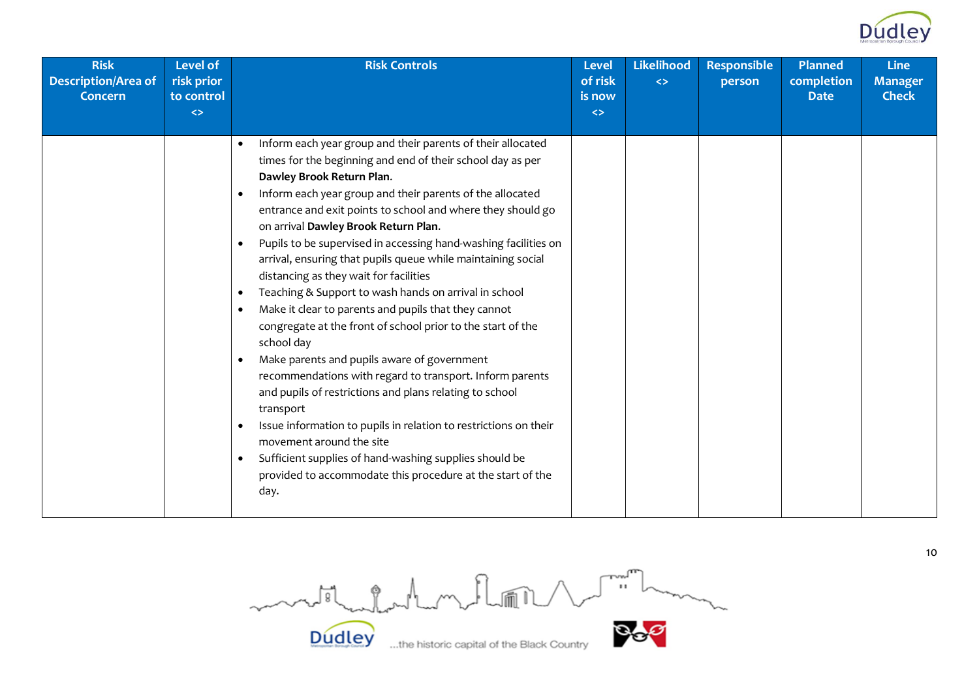

| <b>Risk</b><br><b>Description/Area of</b><br><b>Concern</b> | <b>Level of</b><br>risk prior<br>to control | <b>Risk Controls</b>                                                                                                                                                                                                                                                                                                                                                                                                                                                                                                                                                                                                                                                                                                                                                                                                                                                                                                                                                                                                                                                                                                                            | <b>Level</b><br>of risk<br>is now | Likelihood<br>$\leftrightarrow$ | <b>Responsible</b><br>person | <b>Planned</b><br>completion<br><b>Date</b> | <b>Line</b><br><b>Manager</b><br><b>Check</b> |
|-------------------------------------------------------------|---------------------------------------------|-------------------------------------------------------------------------------------------------------------------------------------------------------------------------------------------------------------------------------------------------------------------------------------------------------------------------------------------------------------------------------------------------------------------------------------------------------------------------------------------------------------------------------------------------------------------------------------------------------------------------------------------------------------------------------------------------------------------------------------------------------------------------------------------------------------------------------------------------------------------------------------------------------------------------------------------------------------------------------------------------------------------------------------------------------------------------------------------------------------------------------------------------|-----------------------------------|---------------------------------|------------------------------|---------------------------------------------|-----------------------------------------------|
|                                                             | $\left\langle \right\rangle$                |                                                                                                                                                                                                                                                                                                                                                                                                                                                                                                                                                                                                                                                                                                                                                                                                                                                                                                                                                                                                                                                                                                                                                 | $\leftrightarrow$                 |                                 |                              |                                             |                                               |
|                                                             |                                             | Inform each year group and their parents of their allocated<br>times for the beginning and end of their school day as per<br>Dawley Brook Return Plan.<br>Inform each year group and their parents of the allocated<br>entrance and exit points to school and where they should go<br>on arrival Dawley Brook Return Plan.<br>Pupils to be supervised in accessing hand-washing facilities on<br>٠<br>arrival, ensuring that pupils queue while maintaining social<br>distancing as they wait for facilities<br>Teaching & Support to wash hands on arrival in school<br>٠<br>Make it clear to parents and pupils that they cannot<br>congregate at the front of school prior to the start of the<br>school day<br>Make parents and pupils aware of government<br>recommendations with regard to transport. Inform parents<br>and pupils of restrictions and plans relating to school<br>transport<br>Issue information to pupils in relation to restrictions on their<br>movement around the site<br>Sufficient supplies of hand-washing supplies should be<br>$\bullet$<br>provided to accommodate this procedure at the start of the<br>day. |                                   |                                 |                              |                                             |                                               |

Dudley when the historic capital of the Black Country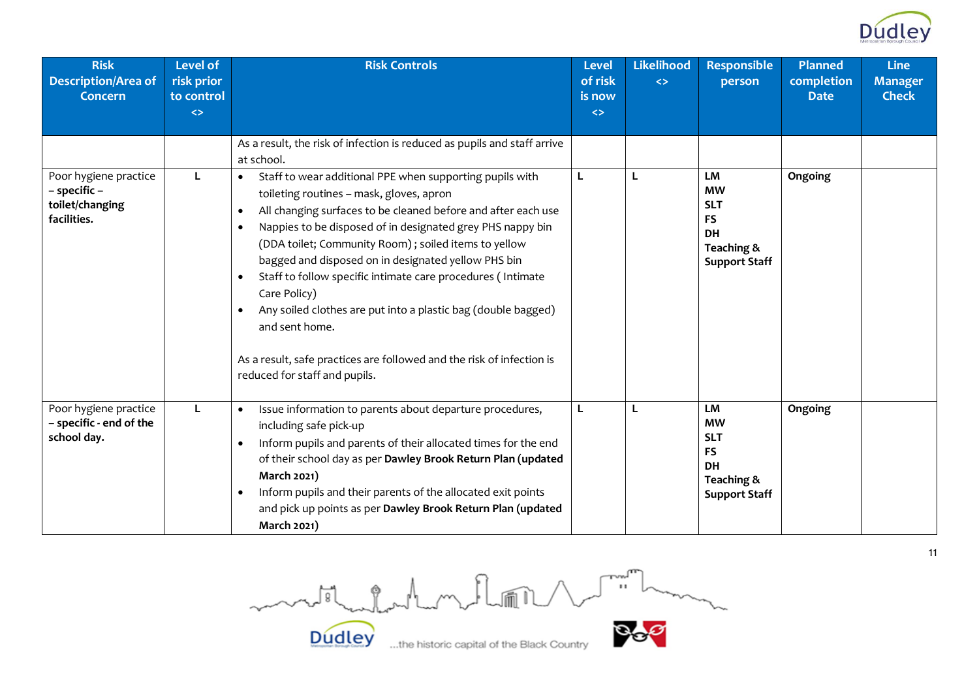

| <b>Risk</b><br><b>Description/Area of</b><br><b>Concern</b>             | <b>Level of</b><br>risk prior<br>to control<br>$\leftrightarrow$ | <b>Risk Controls</b>                                                                                                                                                                                                                                                                                                                                                                                                                                                                                                                                                                                                                                                                            | <b>Level</b><br>of risk<br>is now<br>$\leftrightarrow$ | <b>Likelihood</b><br>$\leftrightarrow$ | <b>Responsible</b><br>person                                                                         | <b>Planned</b><br>completion<br><b>Date</b> | <b>Line</b><br><b>Manager</b><br><b>Check</b> |
|-------------------------------------------------------------------------|------------------------------------------------------------------|-------------------------------------------------------------------------------------------------------------------------------------------------------------------------------------------------------------------------------------------------------------------------------------------------------------------------------------------------------------------------------------------------------------------------------------------------------------------------------------------------------------------------------------------------------------------------------------------------------------------------------------------------------------------------------------------------|--------------------------------------------------------|----------------------------------------|------------------------------------------------------------------------------------------------------|---------------------------------------------|-----------------------------------------------|
|                                                                         |                                                                  | As a result, the risk of infection is reduced as pupils and staff arrive<br>at school.                                                                                                                                                                                                                                                                                                                                                                                                                                                                                                                                                                                                          |                                                        |                                        |                                                                                                      |                                             |                                               |
| Poor hygiene practice<br>- specific -<br>toilet/changing<br>facilities. | L                                                                | Staff to wear additional PPE when supporting pupils with<br>$\bullet$<br>toileting routines - mask, gloves, apron<br>All changing surfaces to be cleaned before and after each use<br>$\bullet$<br>Nappies to be disposed of in designated grey PHS nappy bin<br>$\bullet$<br>(DDA toilet; Community Room); soiled items to yellow<br>bagged and disposed on in designated yellow PHS bin<br>Staff to follow specific intimate care procedures (Intimate<br>$\bullet$<br>Care Policy)<br>Any soiled clothes are put into a plastic bag (double bagged)<br>$\bullet$<br>and sent home.<br>As a result, safe practices are followed and the risk of infection is<br>reduced for staff and pupils. | L                                                      | L                                      | LM<br><b>MW</b><br><b>SLT</b><br><b>FS</b><br><b>DH</b><br>Teaching &<br><b>Support Staff</b>        | Ongoing                                     |                                               |
| Poor hygiene practice<br>- specific - end of the<br>school day.         | L.                                                               | Issue information to parents about departure procedures,<br>$\bullet$<br>including safe pick-up<br>Inform pupils and parents of their allocated times for the end<br>$\bullet$<br>of their school day as per Dawley Brook Return Plan (updated<br>March 2021)<br>Inform pupils and their parents of the allocated exit points<br>$\bullet$<br>and pick up points as per Dawley Brook Return Plan (updated<br>March 2021)                                                                                                                                                                                                                                                                        | L                                                      | L                                      | <b>LM</b><br><b>MW</b><br><b>SLT</b><br><b>FS</b><br><b>DH</b><br>Teaching &<br><b>Support Staff</b> | Ongoing                                     |                                               |

Dudley when the historic capital of the Black Country

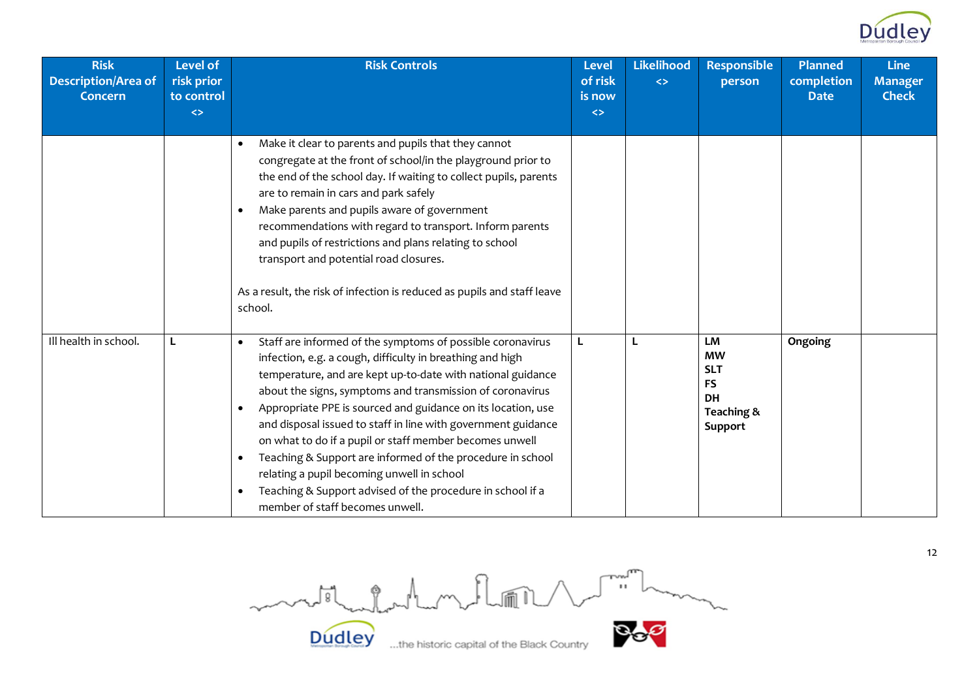

| <b>Risk</b><br><b>Description/Area of</b><br><b>Concern</b> | <b>Level of</b><br>risk prior<br>to control<br>$\Leftrightarrow$ | <b>Risk Controls</b>                                                                                                                                                                                                                                                                                                                                                                                                                                                                                                                                                                                                                                                                   | <b>Level</b><br>of risk<br>is now<br>$\Leftrightarrow$ | <b>Likelihood</b><br>$\leftrightarrow$ | <b>Responsible</b><br>person                                                     | <b>Planned</b><br>completion<br><b>Date</b> | <b>Line</b><br><b>Manager</b><br><b>Check</b> |
|-------------------------------------------------------------|------------------------------------------------------------------|----------------------------------------------------------------------------------------------------------------------------------------------------------------------------------------------------------------------------------------------------------------------------------------------------------------------------------------------------------------------------------------------------------------------------------------------------------------------------------------------------------------------------------------------------------------------------------------------------------------------------------------------------------------------------------------|--------------------------------------------------------|----------------------------------------|----------------------------------------------------------------------------------|---------------------------------------------|-----------------------------------------------|
|                                                             |                                                                  | Make it clear to parents and pupils that they cannot<br>congregate at the front of school/in the playground prior to<br>the end of the school day. If waiting to collect pupils, parents<br>are to remain in cars and park safely<br>Make parents and pupils aware of government<br>recommendations with regard to transport. Inform parents<br>and pupils of restrictions and plans relating to school<br>transport and potential road closures.<br>As a result, the risk of infection is reduced as pupils and staff leave<br>school.                                                                                                                                                |                                                        |                                        |                                                                                  |                                             |                                               |
| Ill health in school.                                       | L                                                                | Staff are informed of the symptoms of possible coronavirus<br>infection, e.g. a cough, difficulty in breathing and high<br>temperature, and are kept up-to-date with national guidance<br>about the signs, symptoms and transmission of coronavirus<br>Appropriate PPE is sourced and guidance on its location, use<br>$\bullet$<br>and disposal issued to staff in line with government guidance<br>on what to do if a pupil or staff member becomes unwell<br>Teaching & Support are informed of the procedure in school<br>$\bullet$<br>relating a pupil becoming unwell in school<br>Teaching & Support advised of the procedure in school if a<br>member of staff becomes unwell. | L                                                      | L                                      | LM<br><b>MW</b><br><b>SLT</b><br><b>FS</b><br><b>DH</b><br>Teaching &<br>Support | Ongoing                                     |                                               |

Dudley the historic capital of the Black Country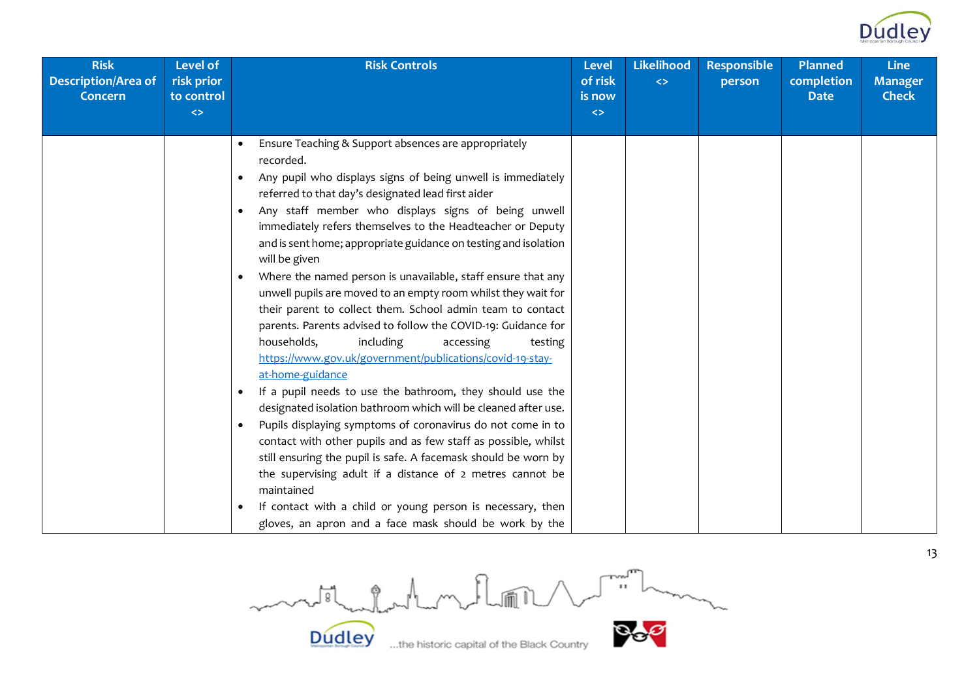

| <b>Risk</b><br><b>Description/Area of</b><br><b>Concern</b> | <b>Level of</b><br>risk prior<br>to control<br>$\leftrightarrow$ | <b>Risk Controls</b>                                                                                                                                                                                                                                                                                                                                                                                                                                                                                                                                                                                                                                                                                                                                                                                                                                                                                                                                                                                                                                                                                                                                                                                                                                                                                                                | <b>Level</b><br>of risk<br>is now<br>$\Leftrightarrow$ | <b>Likelihood</b><br>$\leftrightarrow$ | <b>Responsible</b><br>person | <b>Planned</b><br>completion<br><b>Date</b> | <b>Line</b><br><b>Manager</b><br><b>Check</b> |
|-------------------------------------------------------------|------------------------------------------------------------------|-------------------------------------------------------------------------------------------------------------------------------------------------------------------------------------------------------------------------------------------------------------------------------------------------------------------------------------------------------------------------------------------------------------------------------------------------------------------------------------------------------------------------------------------------------------------------------------------------------------------------------------------------------------------------------------------------------------------------------------------------------------------------------------------------------------------------------------------------------------------------------------------------------------------------------------------------------------------------------------------------------------------------------------------------------------------------------------------------------------------------------------------------------------------------------------------------------------------------------------------------------------------------------------------------------------------------------------|--------------------------------------------------------|----------------------------------------|------------------------------|---------------------------------------------|-----------------------------------------------|
|                                                             |                                                                  |                                                                                                                                                                                                                                                                                                                                                                                                                                                                                                                                                                                                                                                                                                                                                                                                                                                                                                                                                                                                                                                                                                                                                                                                                                                                                                                                     |                                                        |                                        |                              |                                             |                                               |
|                                                             |                                                                  | Ensure Teaching & Support absences are appropriately<br>recorded.<br>Any pupil who displays signs of being unwell is immediately<br>$\bullet$<br>referred to that day's designated lead first aider<br>Any staff member who displays signs of being unwell<br>immediately refers themselves to the Headteacher or Deputy<br>and is sent home; appropriate guidance on testing and isolation<br>will be given<br>Where the named person is unavailable, staff ensure that any<br>$\bullet$<br>unwell pupils are moved to an empty room whilst they wait for<br>their parent to collect them. School admin team to contact<br>parents. Parents advised to follow the COVID-19: Guidance for<br>households,<br>including<br>accessing<br>testing<br>https://www.gov.uk/government/publications/covid-19-stay-<br>at-home-guidance<br>If a pupil needs to use the bathroom, they should use the<br>$\bullet$<br>designated isolation bathroom which will be cleaned after use.<br>Pupils displaying symptoms of coronavirus do not come in to<br>$\bullet$<br>contact with other pupils and as few staff as possible, whilst<br>still ensuring the pupil is safe. A facemask should be worn by<br>the supervising adult if a distance of 2 metres cannot be<br>maintained<br>If contact with a child or young person is necessary, then |                                                        |                                        |                              |                                             |                                               |
|                                                             |                                                                  | gloves, an apron and a face mask should be work by the                                                                                                                                                                                                                                                                                                                                                                                                                                                                                                                                                                                                                                                                                                                                                                                                                                                                                                                                                                                                                                                                                                                                                                                                                                                                              |                                                        |                                        |                              |                                             |                                               |

Country **Bog** mother Production Rund **Dudley**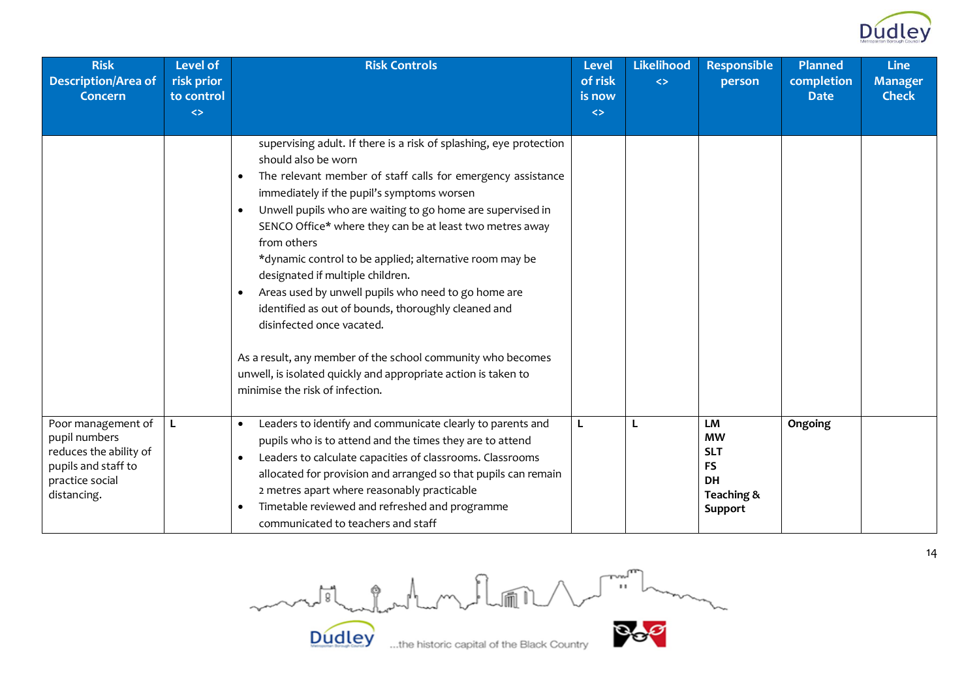

| <b>Risk</b><br><b>Description/Area of</b><br>Concern                                                                   | <b>Level of</b><br>risk prior<br>to control<br>$\leftrightarrow$ | <b>Risk Controls</b>                                                                                                                                                                                                                                                                                                                                                                                                                                                                                                                                                                                                                                                                                                                                                                                 | <b>Level</b><br>of risk<br>is now<br>$\leftrightarrow$ | <b>Likelihood</b><br>$\leftrightarrow$ | <b>Responsible</b><br>person                                                     | <b>Planned</b><br>completion<br><b>Date</b> | <b>Line</b><br><b>Manager</b><br><b>Check</b> |
|------------------------------------------------------------------------------------------------------------------------|------------------------------------------------------------------|------------------------------------------------------------------------------------------------------------------------------------------------------------------------------------------------------------------------------------------------------------------------------------------------------------------------------------------------------------------------------------------------------------------------------------------------------------------------------------------------------------------------------------------------------------------------------------------------------------------------------------------------------------------------------------------------------------------------------------------------------------------------------------------------------|--------------------------------------------------------|----------------------------------------|----------------------------------------------------------------------------------|---------------------------------------------|-----------------------------------------------|
|                                                                                                                        |                                                                  | supervising adult. If there is a risk of splashing, eye protection<br>should also be worn<br>The relevant member of staff calls for emergency assistance<br>$\bullet$<br>immediately if the pupil's symptoms worsen<br>Unwell pupils who are waiting to go home are supervised in<br>$\bullet$<br>SENCO Office* where they can be at least two metres away<br>from others<br>*dynamic control to be applied; alternative room may be<br>designated if multiple children.<br>Areas used by unwell pupils who need to go home are<br>$\bullet$<br>identified as out of bounds, thoroughly cleaned and<br>disinfected once vacated.<br>As a result, any member of the school community who becomes<br>unwell, is isolated quickly and appropriate action is taken to<br>minimise the risk of infection. |                                                        |                                        |                                                                                  |                                             |                                               |
| Poor management of<br>pupil numbers<br>reduces the ability of<br>pupils and staff to<br>practice social<br>distancing. | L.                                                               | Leaders to identify and communicate clearly to parents and<br>$\bullet$<br>pupils who is to attend and the times they are to attend<br>Leaders to calculate capacities of classrooms. Classrooms<br>$\bullet$<br>allocated for provision and arranged so that pupils can remain<br>2 metres apart where reasonably practicable<br>Timetable reviewed and refreshed and programme<br>$\bullet$<br>communicated to teachers and staff                                                                                                                                                                                                                                                                                                                                                                  | L                                                      | L                                      | LM<br><b>MW</b><br><b>SLT</b><br><b>FS</b><br><b>DH</b><br>Teaching &<br>Support | Ongoing                                     |                                               |

Country **Bog** mostladerhom floor **Dudley** 

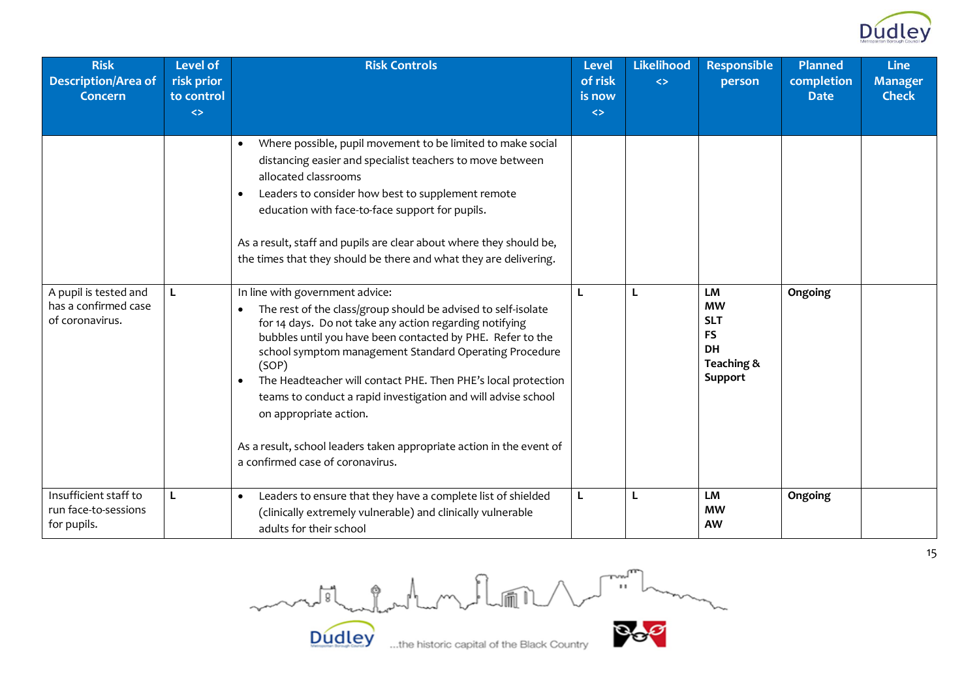

| <b>Risk</b><br><b>Description/Area of</b><br><b>Concern</b>      | <b>Level of</b><br>risk prior<br>to control<br>$\leftrightarrow$ | <b>Risk Controls</b>                                                                                                                                                                                                                                                                                                                                                                                                                                                                                                                                                              | <b>Level</b><br>of risk<br>is now<br>$\leftrightarrow$ | <b>Likelihood</b><br>$\leftrightarrow$ | <b>Responsible</b><br>person                                                     | <b>Planned</b><br>completion<br><b>Date</b> | <b>Line</b><br><b>Manager</b><br><b>Check</b> |
|------------------------------------------------------------------|------------------------------------------------------------------|-----------------------------------------------------------------------------------------------------------------------------------------------------------------------------------------------------------------------------------------------------------------------------------------------------------------------------------------------------------------------------------------------------------------------------------------------------------------------------------------------------------------------------------------------------------------------------------|--------------------------------------------------------|----------------------------------------|----------------------------------------------------------------------------------|---------------------------------------------|-----------------------------------------------|
|                                                                  |                                                                  | Where possible, pupil movement to be limited to make social<br>$\bullet$<br>distancing easier and specialist teachers to move between<br>allocated classrooms<br>Leaders to consider how best to supplement remote<br>$\bullet$<br>education with face-to-face support for pupils.<br>As a result, staff and pupils are clear about where they should be,<br>the times that they should be there and what they are delivering.                                                                                                                                                    |                                                        |                                        |                                                                                  |                                             |                                               |
| A pupil is tested and<br>has a confirmed case<br>of coronavirus. | L                                                                | In line with government advice:<br>The rest of the class/group should be advised to self-isolate<br>for 14 days. Do not take any action regarding notifying<br>bubbles until you have been contacted by PHE. Refer to the<br>school symptom management Standard Operating Procedure<br>(SOP)<br>The Headteacher will contact PHE. Then PHE's local protection<br>$\bullet$<br>teams to conduct a rapid investigation and will advise school<br>on appropriate action.<br>As a result, school leaders taken appropriate action in the event of<br>a confirmed case of coronavirus. |                                                        | L                                      | LM<br><b>MW</b><br><b>SLT</b><br><b>FS</b><br><b>DH</b><br>Teaching &<br>Support | Ongoing                                     |                                               |
| Insufficient staff to<br>run face-to-sessions<br>for pupils.     | L                                                                | Leaders to ensure that they have a complete list of shielded<br>$\bullet$<br>(clinically extremely vulnerable) and clinically vulnerable<br>adults for their school                                                                                                                                                                                                                                                                                                                                                                                                               | L                                                      | L                                      | LM<br><b>MW</b><br><b>AW</b>                                                     | Ongoing                                     |                                               |

Dudley the historic capital of the Black Country

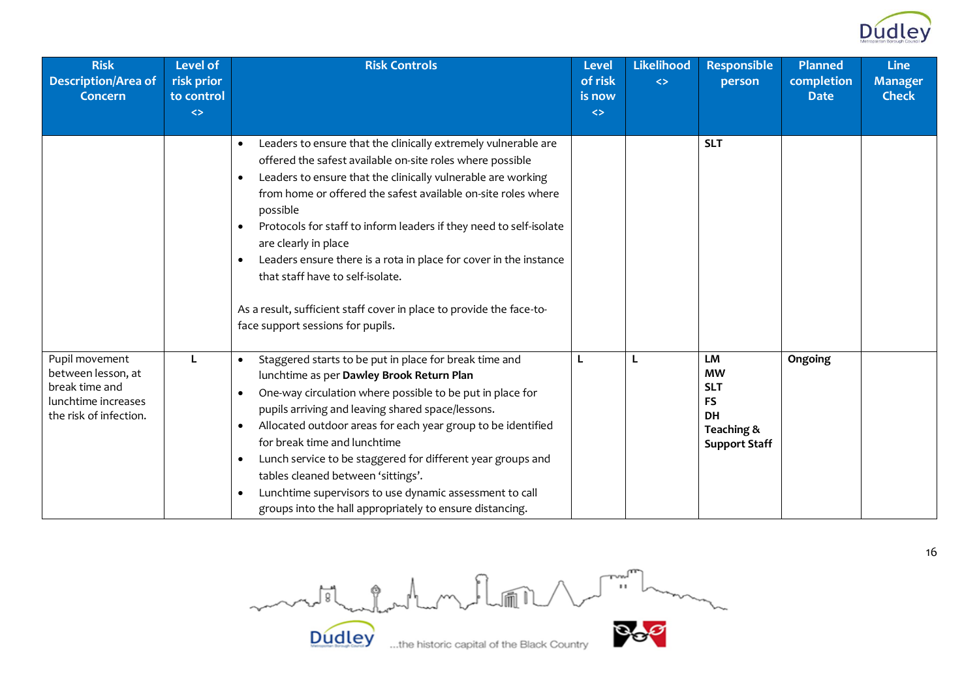

| <b>Risk</b><br><b>Description/Area of</b><br><b>Concern</b>                                             | <b>Level of</b><br>risk prior<br>to control<br>$\leftrightarrow$ | <b>Risk Controls</b>                                                                                                                                                                                                                                                                                                                                                                                                                                                                                                                                                                                                                             | <b>Level</b><br>of risk<br>is now<br>$\leftrightarrow$ | <b>Likelihood</b><br>$\leftrightarrow$ | <b>Responsible</b><br>person                                                                         | <b>Planned</b><br>completion<br><b>Date</b> | <b>Line</b><br><b>Manager</b><br><b>Check</b> |
|---------------------------------------------------------------------------------------------------------|------------------------------------------------------------------|--------------------------------------------------------------------------------------------------------------------------------------------------------------------------------------------------------------------------------------------------------------------------------------------------------------------------------------------------------------------------------------------------------------------------------------------------------------------------------------------------------------------------------------------------------------------------------------------------------------------------------------------------|--------------------------------------------------------|----------------------------------------|------------------------------------------------------------------------------------------------------|---------------------------------------------|-----------------------------------------------|
|                                                                                                         |                                                                  | Leaders to ensure that the clinically extremely vulnerable are<br>$\bullet$<br>offered the safest available on-site roles where possible<br>Leaders to ensure that the clinically vulnerable are working<br>$\bullet$<br>from home or offered the safest available on-site roles where<br>possible<br>Protocols for staff to inform leaders if they need to self-isolate<br>$\bullet$<br>are clearly in place<br>Leaders ensure there is a rota in place for cover in the instance<br>$\bullet$<br>that staff have to self-isolate.<br>As a result, sufficient staff cover in place to provide the face-to-<br>face support sessions for pupils. |                                                        |                                        | <b>SLT</b>                                                                                           |                                             |                                               |
| Pupil movement<br>between lesson, at<br>break time and<br>lunchtime increases<br>the risk of infection. |                                                                  | Staggered starts to be put in place for break time and<br>$\bullet$<br>lunchtime as per Dawley Brook Return Plan<br>One-way circulation where possible to be put in place for<br>$\bullet$<br>pupils arriving and leaving shared space/lessons.<br>Allocated outdoor areas for each year group to be identified<br>$\bullet$<br>for break time and lunchtime<br>Lunch service to be staggered for different year groups and<br>$\bullet$<br>tables cleaned between 'sittings'.<br>Lunchtime supervisors to use dynamic assessment to call<br>$\bullet$<br>groups into the hall appropriately to ensure distancing.                               |                                                        | L                                      | <b>LM</b><br><b>MW</b><br><b>SLT</b><br><b>FS</b><br><b>DH</b><br>Teaching &<br><b>Support Staff</b> | Ongoing                                     |                                               |

Dudley ... the historic capital of the Black Country **Dudley**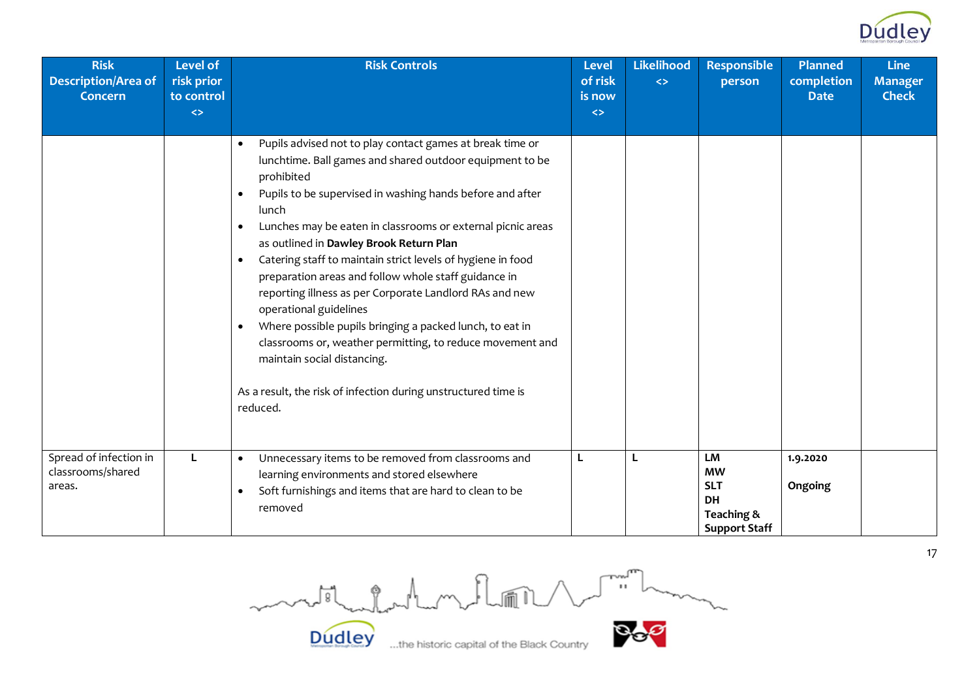

| <b>Risk</b><br><b>Description/Area of</b><br><b>Concern</b> | <b>Level of</b><br>risk prior<br>to control<br>$\Leftrightarrow$ | <b>Risk Controls</b>                                                                                                                                                                                                                                                                                                                                                                                                                                                                                                                                                                                                                                                                                                                                                                                                                   | <b>Level</b><br>of risk<br>is now<br>$\Leftrightarrow$ | Likelihood<br>$\leftrightarrow$ | <b>Responsible</b><br>person                                                     | <b>Planned</b><br>completion<br><b>Date</b> | <b>Line</b><br><b>Manager</b><br><b>Check</b> |
|-------------------------------------------------------------|------------------------------------------------------------------|----------------------------------------------------------------------------------------------------------------------------------------------------------------------------------------------------------------------------------------------------------------------------------------------------------------------------------------------------------------------------------------------------------------------------------------------------------------------------------------------------------------------------------------------------------------------------------------------------------------------------------------------------------------------------------------------------------------------------------------------------------------------------------------------------------------------------------------|--------------------------------------------------------|---------------------------------|----------------------------------------------------------------------------------|---------------------------------------------|-----------------------------------------------|
|                                                             |                                                                  | Pupils advised not to play contact games at break time or<br>$\bullet$<br>lunchtime. Ball games and shared outdoor equipment to be<br>prohibited<br>Pupils to be supervised in washing hands before and after<br>$\bullet$<br>lunch<br>Lunches may be eaten in classrooms or external picnic areas<br>$\bullet$<br>as outlined in Dawley Brook Return Plan<br>Catering staff to maintain strict levels of hygiene in food<br>$\bullet$<br>preparation areas and follow whole staff guidance in<br>reporting illness as per Corporate Landlord RAs and new<br>operational guidelines<br>Where possible pupils bringing a packed lunch, to eat in<br>$\bullet$<br>classrooms or, weather permitting, to reduce movement and<br>maintain social distancing.<br>As a result, the risk of infection during unstructured time is<br>reduced. |                                                        |                                 |                                                                                  |                                             |                                               |
| Spread of infection in<br>classrooms/shared<br>areas.       | L                                                                | Unnecessary items to be removed from classrooms and<br>$\bullet$<br>learning environments and stored elsewhere<br>Soft furnishings and items that are hard to clean to be<br>$\bullet$<br>removed                                                                                                                                                                                                                                                                                                                                                                                                                                                                                                                                                                                                                                      | L                                                      | L                               | LM<br><b>MW</b><br><b>SLT</b><br><b>DH</b><br>Teaching &<br><b>Support Staff</b> | 1.9.2020<br>Ongoing                         |                                               |

Country **Bog** month for the following

**Dudley** 

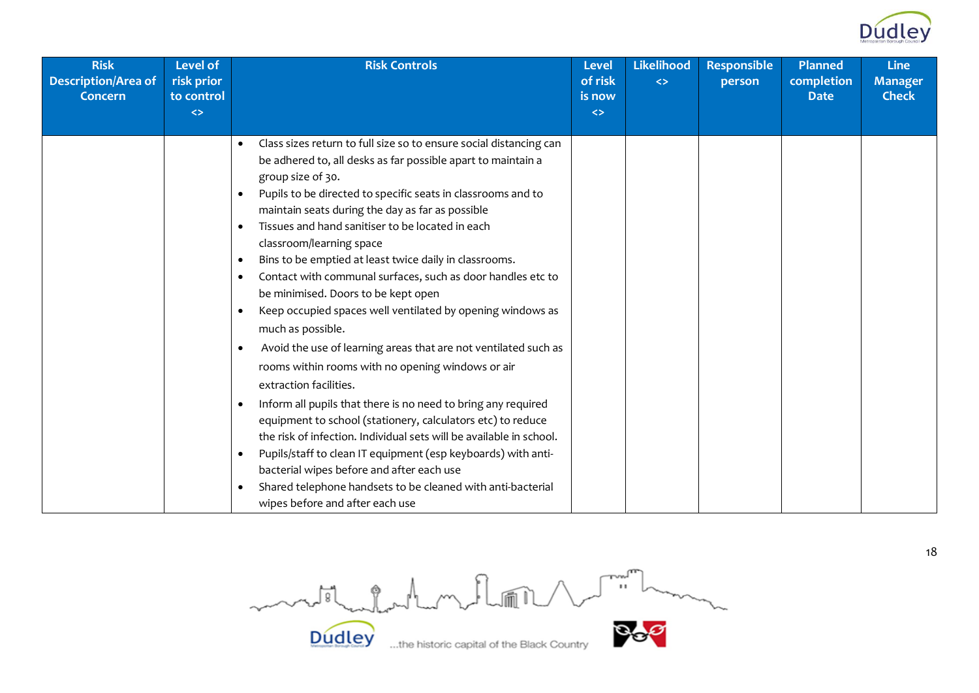

| <b>Risk</b><br><b>Description/Area of</b><br>Concern | <b>Level of</b><br>risk prior<br>to control<br>$\Leftrightarrow$ | <b>Risk Controls</b>                                                                                                                                                                                                                                                                                                                                                                                                                                                                                                                                                                                                                                                                                                                                                                                                                                                                                                                                                                                                                                                                                                                                                                                                                                                                                         | <b>Level</b><br>of risk<br>is now<br>$\leftrightarrow$ | <b>Likelihood</b><br>$\leftrightarrow$ | <b>Responsible</b><br>person | <b>Planned</b><br>completion<br><b>Date</b> | Line<br><b>Manager</b><br><b>Check</b> |
|------------------------------------------------------|------------------------------------------------------------------|--------------------------------------------------------------------------------------------------------------------------------------------------------------------------------------------------------------------------------------------------------------------------------------------------------------------------------------------------------------------------------------------------------------------------------------------------------------------------------------------------------------------------------------------------------------------------------------------------------------------------------------------------------------------------------------------------------------------------------------------------------------------------------------------------------------------------------------------------------------------------------------------------------------------------------------------------------------------------------------------------------------------------------------------------------------------------------------------------------------------------------------------------------------------------------------------------------------------------------------------------------------------------------------------------------------|--------------------------------------------------------|----------------------------------------|------------------------------|---------------------------------------------|----------------------------------------|
|                                                      |                                                                  | Class sizes return to full size so to ensure social distancing can<br>be adhered to, all desks as far possible apart to maintain a<br>group size of 30.<br>Pupils to be directed to specific seats in classrooms and to<br>$\bullet$<br>maintain seats during the day as far as possible<br>Tissues and hand sanitiser to be located in each<br>$\bullet$<br>classroom/learning space<br>Bins to be emptied at least twice daily in classrooms.<br>$\bullet$<br>Contact with communal surfaces, such as door handles etc to<br>$\bullet$<br>be minimised. Doors to be kept open<br>Keep occupied spaces well ventilated by opening windows as<br>$\bullet$<br>much as possible.<br>Avoid the use of learning areas that are not ventilated such as<br>$\bullet$<br>rooms within rooms with no opening windows or air<br>extraction facilities.<br>Inform all pupils that there is no need to bring any required<br>$\bullet$<br>equipment to school (stationery, calculators etc) to reduce<br>the risk of infection. Individual sets will be available in school.<br>Pupils/staff to clean IT equipment (esp keyboards) with anti-<br>$\bullet$<br>bacterial wipes before and after each use<br>Shared telephone handsets to be cleaned with anti-bacterial<br>$\bullet$<br>wipes before and after each use |                                                        |                                        |                              |                                             |                                        |

Dudley ....the historic capital of the Black Country **Dudley**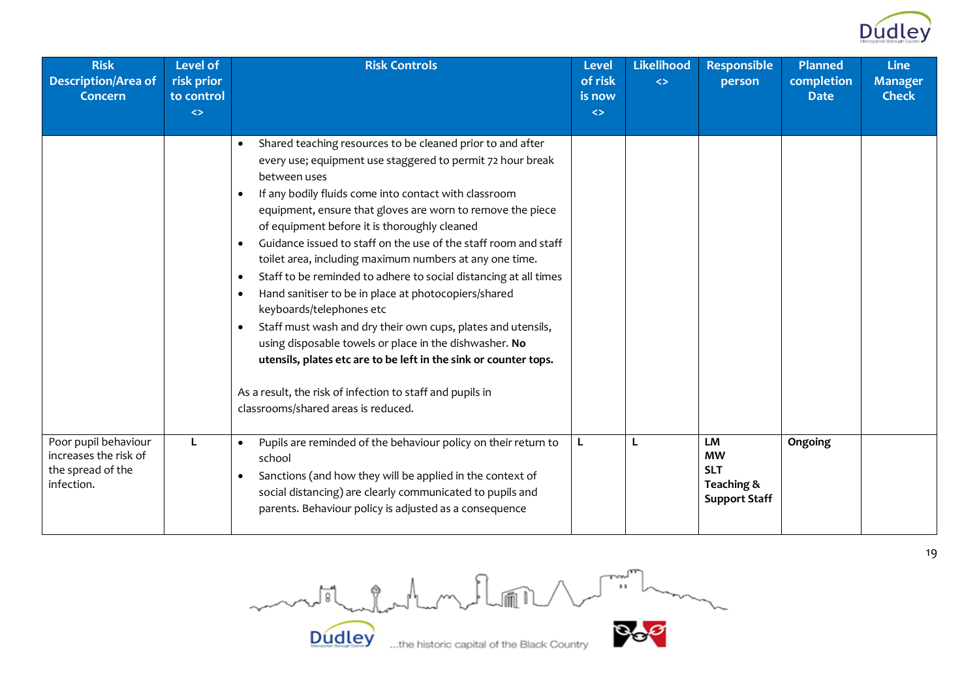

| <b>Risk</b><br><b>Description/Area of</b><br><b>Concern</b>                      | <b>Level of</b><br>risk prior<br>to control<br>$\leftrightarrow$ | <b>Risk Controls</b>                                                                                                                                                                                                                                                                                                                                                                                                                                                                                                                                                                                                                                                                                                                                                                                                                                                                                                                                                                  | <b>Level</b><br>of risk<br>is now<br>$\Leftrightarrow$ | <b>Likelihood</b><br>$\leftrightarrow$ | <b>Responsible</b><br>person                                               | <b>Planned</b><br>completion<br><b>Date</b> | <b>Line</b><br><b>Manager</b><br><b>Check</b> |
|----------------------------------------------------------------------------------|------------------------------------------------------------------|---------------------------------------------------------------------------------------------------------------------------------------------------------------------------------------------------------------------------------------------------------------------------------------------------------------------------------------------------------------------------------------------------------------------------------------------------------------------------------------------------------------------------------------------------------------------------------------------------------------------------------------------------------------------------------------------------------------------------------------------------------------------------------------------------------------------------------------------------------------------------------------------------------------------------------------------------------------------------------------|--------------------------------------------------------|----------------------------------------|----------------------------------------------------------------------------|---------------------------------------------|-----------------------------------------------|
|                                                                                  |                                                                  | Shared teaching resources to be cleaned prior to and after<br>$\bullet$<br>every use; equipment use staggered to permit 72 hour break<br>between uses<br>If any bodily fluids come into contact with classroom<br>$\bullet$<br>equipment, ensure that gloves are worn to remove the piece<br>of equipment before it is thoroughly cleaned<br>Guidance issued to staff on the use of the staff room and staff<br>$\bullet$<br>toilet area, including maximum numbers at any one time.<br>Staff to be reminded to adhere to social distancing at all times<br>$\bullet$<br>Hand sanitiser to be in place at photocopiers/shared<br>$\bullet$<br>keyboards/telephones etc<br>Staff must wash and dry their own cups, plates and utensils,<br>$\bullet$<br>using disposable towels or place in the dishwasher. No<br>utensils, plates etc are to be left in the sink or counter tops.<br>As a result, the risk of infection to staff and pupils in<br>classrooms/shared areas is reduced. |                                                        |                                        |                                                                            |                                             |                                               |
| Poor pupil behaviour<br>increases the risk of<br>the spread of the<br>infection. |                                                                  | Pupils are reminded of the behaviour policy on their return to<br>school<br>Sanctions (and how they will be applied in the context of<br>social distancing) are clearly communicated to pupils and<br>parents. Behaviour policy is adjusted as a consequence                                                                                                                                                                                                                                                                                                                                                                                                                                                                                                                                                                                                                                                                                                                          | L                                                      | L                                      | <b>LM</b><br><b>MW</b><br><b>SLT</b><br>Teaching &<br><b>Support Staff</b> | Ongoing                                     |                                               |

Country **Bog** motil datement floor **Dudley** 

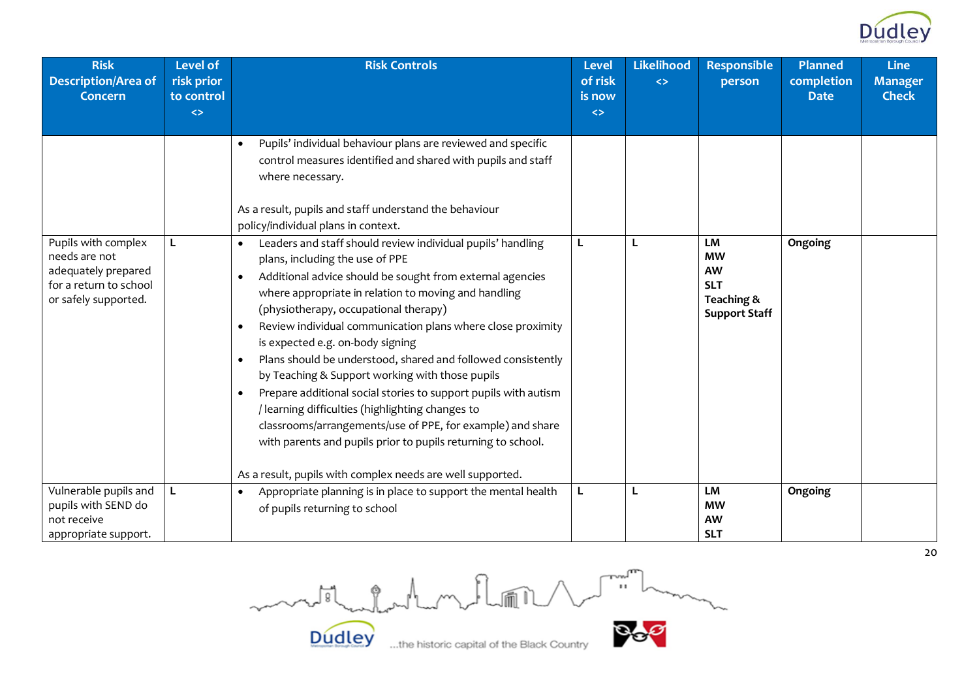

| <b>Risk</b><br><b>Description/Area of</b>                                                                     | <b>Level of</b><br>risk prior   | <b>Risk Controls</b>                                                                                                                                                                                                                                                                                                                                                                                                                                                                                                                                                                                                                                                                                                                                                                                                                                      | <b>Level</b><br>of risk                | <b>Likelihood</b><br>$\leftrightarrow$ | <b>Responsible</b><br>person                                                     | <b>Planned</b><br>completion | <b>Line</b><br><b>Manager</b> |
|---------------------------------------------------------------------------------------------------------------|---------------------------------|-----------------------------------------------------------------------------------------------------------------------------------------------------------------------------------------------------------------------------------------------------------------------------------------------------------------------------------------------------------------------------------------------------------------------------------------------------------------------------------------------------------------------------------------------------------------------------------------------------------------------------------------------------------------------------------------------------------------------------------------------------------------------------------------------------------------------------------------------------------|----------------------------------------|----------------------------------------|----------------------------------------------------------------------------------|------------------------------|-------------------------------|
| <b>Concern</b>                                                                                                | to control<br>$\leftrightarrow$ |                                                                                                                                                                                                                                                                                                                                                                                                                                                                                                                                                                                                                                                                                                                                                                                                                                                           | is now<br>$\left\langle \right\rangle$ |                                        |                                                                                  | <b>Date</b>                  | <b>Check</b>                  |
|                                                                                                               |                                 | Pupils' individual behaviour plans are reviewed and specific<br>control measures identified and shared with pupils and staff<br>where necessary.<br>As a result, pupils and staff understand the behaviour<br>policy/individual plans in context.                                                                                                                                                                                                                                                                                                                                                                                                                                                                                                                                                                                                         |                                        |                                        |                                                                                  |                              |                               |
| Pupils with complex<br>needs are not<br>adequately prepared<br>for a return to school<br>or safely supported. | L                               | Leaders and staff should review individual pupils' handling<br>$\bullet$<br>plans, including the use of PPE<br>Additional advice should be sought from external agencies<br>where appropriate in relation to moving and handling<br>(physiotherapy, occupational therapy)<br>Review individual communication plans where close proximity<br>$\bullet$<br>is expected e.g. on-body signing<br>Plans should be understood, shared and followed consistently<br>$\bullet$<br>by Teaching & Support working with those pupils<br>Prepare additional social stories to support pupils with autism<br>$\bullet$<br>/ learning difficulties (highlighting changes to<br>classrooms/arrangements/use of PPE, for example) and share<br>with parents and pupils prior to pupils returning to school.<br>As a result, pupils with complex needs are well supported. |                                        | L                                      | LM<br><b>MW</b><br><b>AW</b><br><b>SLT</b><br>Teaching &<br><b>Support Staff</b> | Ongoing                      |                               |
| Vulnerable pupils and<br>pupils with SEND do<br>not receive<br>appropriate support.                           | L                               | Appropriate planning is in place to support the mental health<br>of pupils returning to school                                                                                                                                                                                                                                                                                                                                                                                                                                                                                                                                                                                                                                                                                                                                                            | L                                      | L                                      | <b>LM</b><br><b>MW</b><br><b>AW</b><br><b>SLT</b>                                | Ongoing                      |                               |

medicated with 1 million

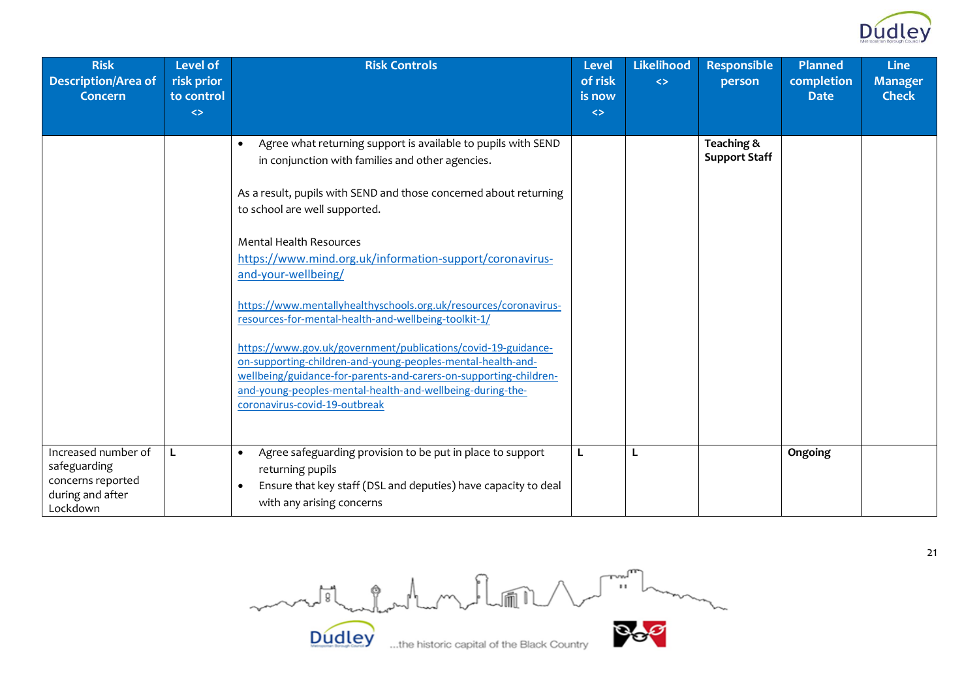

| <b>Risk</b><br><b>Description/Area of</b><br><b>Concern</b>                              | Level of<br>risk prior<br>to control<br>$\leftrightarrow$ | <b>Risk Controls</b>                                                                                                                                                                                                                                                                                                                                    | <b>Level</b><br>of risk<br>is now<br>$\leftrightarrow$ | <b>Likelihood</b><br>$\leftrightarrow$ | <b>Responsible</b><br>person       | <b>Planned</b><br>completion<br><b>Date</b> | <b>Line</b><br><b>Manager</b><br><b>Check</b> |
|------------------------------------------------------------------------------------------|-----------------------------------------------------------|---------------------------------------------------------------------------------------------------------------------------------------------------------------------------------------------------------------------------------------------------------------------------------------------------------------------------------------------------------|--------------------------------------------------------|----------------------------------------|------------------------------------|---------------------------------------------|-----------------------------------------------|
|                                                                                          |                                                           | Agree what returning support is available to pupils with SEND<br>$\bullet$<br>in conjunction with families and other agencies.<br>As a result, pupils with SEND and those concerned about returning<br>to school are well supported.                                                                                                                    |                                                        |                                        | Teaching &<br><b>Support Staff</b> |                                             |                                               |
|                                                                                          |                                                           | <b>Mental Health Resources</b><br>https://www.mind.org.uk/information-support/coronavirus-<br>and-your-wellbeing/<br>https://www.mentallyhealthyschools.org.uk/resources/coronavirus-                                                                                                                                                                   |                                                        |                                        |                                    |                                             |                                               |
|                                                                                          |                                                           | resources-for-mental-health-and-wellbeing-toolkit-1/<br>https://www.gov.uk/government/publications/covid-19-guidance-<br>on-supporting-children-and-young-peoples-mental-health-and-<br>wellbeing/guidance-for-parents-and-carers-on-supporting-children-<br>and-young-peoples-mental-health-and-wellbeing-during-the-<br>coronavirus-covid-19-outbreak |                                                        |                                        |                                    |                                             |                                               |
| Increased number of<br>safeguarding<br>concerns reported<br>during and after<br>Lockdown | L                                                         | Agree safeguarding provision to be put in place to support<br>$\bullet$<br>returning pupils<br>Ensure that key staff (DSL and deputies) have capacity to deal<br>with any arising concerns                                                                                                                                                              |                                                        | L                                      |                                    | Ongoing                                     |                                               |

Country **Bog** mostladerhom floor **Dudley**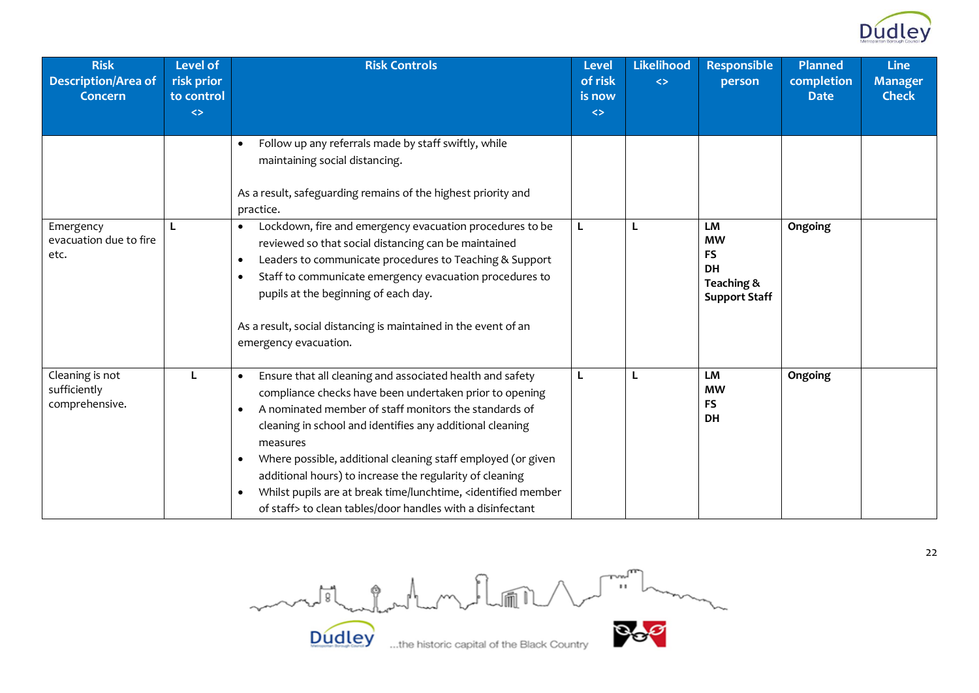

| <b>Risk</b><br><b>Description/Area of</b><br><b>Concern</b> | Level of<br>risk prior<br>to control<br>$\left\langle \right\rangle$ | <b>Risk Controls</b>                                                                                                                                                                                                                                                                                                                                                                                                                                                                                                                                           | <b>Level</b><br>of risk<br>is now<br>$\leftrightarrow$ | <b>Likelihood</b><br>$\leftrightarrow$ | <b>Responsible</b><br>person                                                    | <b>Planned</b><br>completion<br><b>Date</b> | <b>Line</b><br><b>Manager</b><br><b>Check</b> |
|-------------------------------------------------------------|----------------------------------------------------------------------|----------------------------------------------------------------------------------------------------------------------------------------------------------------------------------------------------------------------------------------------------------------------------------------------------------------------------------------------------------------------------------------------------------------------------------------------------------------------------------------------------------------------------------------------------------------|--------------------------------------------------------|----------------------------------------|---------------------------------------------------------------------------------|---------------------------------------------|-----------------------------------------------|
|                                                             |                                                                      | Follow up any referrals made by staff swiftly, while<br>maintaining social distancing.<br>As a result, safeguarding remains of the highest priority and<br>practice.                                                                                                                                                                                                                                                                                                                                                                                           |                                                        |                                        |                                                                                 |                                             |                                               |
| Emergency<br>evacuation due to fire<br>etc.                 | L                                                                    | Lockdown, fire and emergency evacuation procedures to be<br>reviewed so that social distancing can be maintained<br>Leaders to communicate procedures to Teaching & Support<br>$\bullet$<br>Staff to communicate emergency evacuation procedures to<br>$\bullet$<br>pupils at the beginning of each day.<br>As a result, social distancing is maintained in the event of an<br>emergency evacuation.                                                                                                                                                           |                                                        | L                                      | LM<br><b>MW</b><br><b>FS</b><br><b>DH</b><br>Teaching &<br><b>Support Staff</b> | Ongoing                                     |                                               |
| Cleaning is not<br>sufficiently<br>comprehensive.           |                                                                      | Ensure that all cleaning and associated health and safety<br>$\bullet$<br>compliance checks have been undertaken prior to opening<br>A nominated member of staff monitors the standards of<br>cleaning in school and identifies any additional cleaning<br>measures<br>Where possible, additional cleaning staff employed (or given<br>$\bullet$<br>additional hours) to increase the regularity of cleaning<br>Whilst pupils are at break time/lunchtime, <identified member<br="">of staff&gt; to clean tables/door handles with a disinfectant</identified> |                                                        | L                                      | <b>LM</b><br><b>MW</b><br><b>FS</b><br>DH                                       | Ongoing                                     |                                               |

Dudley ....the historic capital of the Black Country

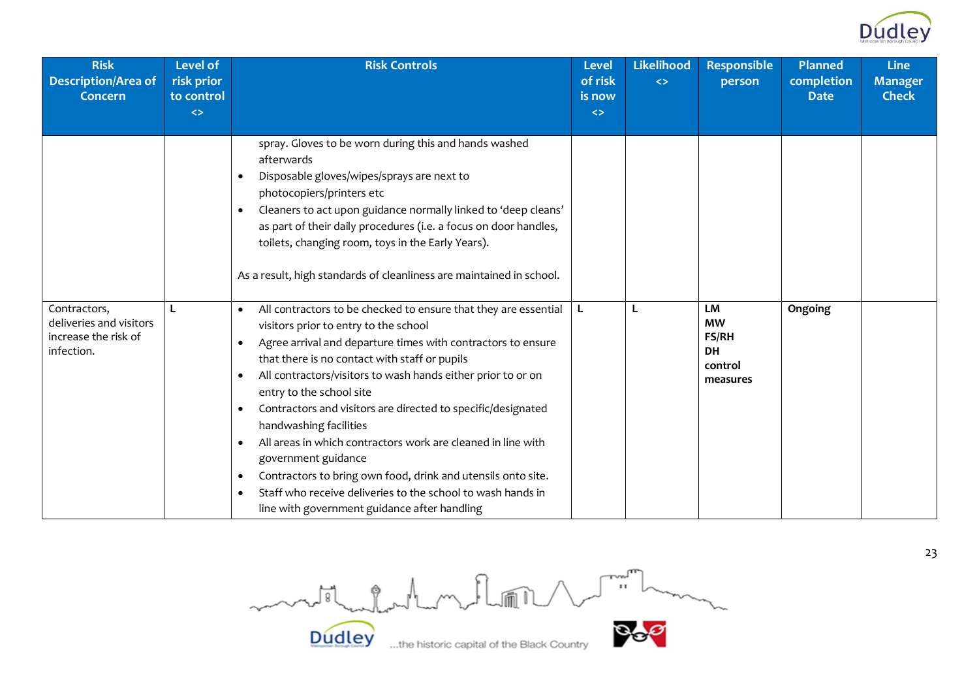

| <b>Risk</b><br><b>Description/Area of</b><br><b>Concern</b>                   | <b>Level of</b><br>risk prior<br>to control<br>$\leftrightarrow$ | <b>Risk Controls</b>                                                                                                                                                                                                                                                                                                                                                                                                                                                                                                                                                                                                                                                                                                                                                                                                                                                                                                                                                            | <b>Level</b><br>of risk<br>is now<br>$\leftrightarrow$ | Likelihood<br>$\leftrightarrow$ | <b>Responsible</b><br>person                                        | <b>Planned</b><br>completion<br><b>Date</b> | <b>Line</b><br><b>Manager</b><br><b>Check</b> |
|-------------------------------------------------------------------------------|------------------------------------------------------------------|---------------------------------------------------------------------------------------------------------------------------------------------------------------------------------------------------------------------------------------------------------------------------------------------------------------------------------------------------------------------------------------------------------------------------------------------------------------------------------------------------------------------------------------------------------------------------------------------------------------------------------------------------------------------------------------------------------------------------------------------------------------------------------------------------------------------------------------------------------------------------------------------------------------------------------------------------------------------------------|--------------------------------------------------------|---------------------------------|---------------------------------------------------------------------|---------------------------------------------|-----------------------------------------------|
| Contractors,<br>deliveries and visitors<br>increase the risk of<br>infection. |                                                                  | spray. Gloves to be worn during this and hands washed<br>afterwards<br>Disposable gloves/wipes/sprays are next to<br>$\bullet$<br>photocopiers/printers etc<br>Cleaners to act upon guidance normally linked to 'deep cleans'<br>as part of their daily procedures (i.e. a focus on door handles,<br>toilets, changing room, toys in the Early Years).<br>As a result, high standards of cleanliness are maintained in school.<br>All contractors to be checked to ensure that they are essential<br>visitors prior to entry to the school<br>Agree arrival and departure times with contractors to ensure<br>$\bullet$<br>that there is no contact with staff or pupils<br>All contractors/visitors to wash hands either prior to or on<br>entry to the school site<br>Contractors and visitors are directed to specific/designated<br>$\bullet$<br>handwashing facilities<br>All areas in which contractors work are cleaned in line with<br>$\bullet$<br>government guidance | L.                                                     |                                 | LM<br><b>MW</b><br><b>FS/RH</b><br><b>DH</b><br>control<br>measures | Ongoing                                     |                                               |
|                                                                               |                                                                  | Contractors to bring own food, drink and utensils onto site.<br>$\bullet$<br>Staff who receive deliveries to the school to wash hands in<br>line with government guidance after handling                                                                                                                                                                                                                                                                                                                                                                                                                                                                                                                                                                                                                                                                                                                                                                                        |                                                        |                                 |                                                                     |                                             |                                               |

Dudley when the historic capital of the Black Country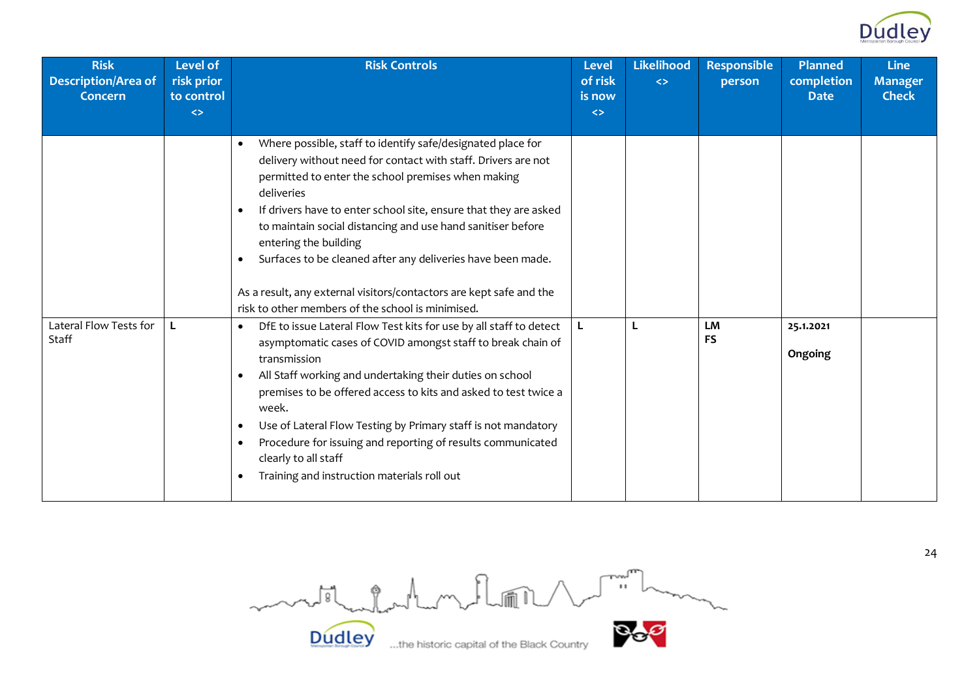

| <b>Risk</b><br><b>Description/Area of</b><br><b>Concern</b> | <b>Level of</b><br>risk prior<br>to control<br>$\leftrightarrow$ | <b>Risk Controls</b>                                                                                                                                                                                                                                                                                                                                                                                                                                                                                                                                                                                                                                                                                                                                                                                                                                                                                                                                                                                                                                                                                                                                                | <b>Level</b><br>of risk<br>is now<br>$\Leftrightarrow$ | <b>Likelihood</b><br>$\leftrightarrow$ | <b>Responsible</b><br>person | <b>Planned</b><br>completion<br><b>Date</b> | <b>Line</b><br><b>Manager</b><br><b>Check</b> |
|-------------------------------------------------------------|------------------------------------------------------------------|---------------------------------------------------------------------------------------------------------------------------------------------------------------------------------------------------------------------------------------------------------------------------------------------------------------------------------------------------------------------------------------------------------------------------------------------------------------------------------------------------------------------------------------------------------------------------------------------------------------------------------------------------------------------------------------------------------------------------------------------------------------------------------------------------------------------------------------------------------------------------------------------------------------------------------------------------------------------------------------------------------------------------------------------------------------------------------------------------------------------------------------------------------------------|--------------------------------------------------------|----------------------------------------|------------------------------|---------------------------------------------|-----------------------------------------------|
| Lateral Flow Tests for<br>Staff                             | L                                                                | Where possible, staff to identify safe/designated place for<br>$\bullet$<br>delivery without need for contact with staff. Drivers are not<br>permitted to enter the school premises when making<br>deliveries<br>If drivers have to enter school site, ensure that they are asked<br>$\bullet$<br>to maintain social distancing and use hand sanitiser before<br>entering the building<br>Surfaces to be cleaned after any deliveries have been made.<br>$\bullet$<br>As a result, any external visitors/contactors are kept safe and the<br>risk to other members of the school is minimised.<br>DfE to issue Lateral Flow Test kits for use by all staff to detect<br>$\bullet$<br>asymptomatic cases of COVID amongst staff to break chain of<br>transmission<br>All Staff working and undertaking their duties on school<br>$\bullet$<br>premises to be offered access to kits and asked to test twice a<br>week.<br>Use of Lateral Flow Testing by Primary staff is not mandatory<br>$\bullet$<br>Procedure for issuing and reporting of results communicated<br>$\bullet$<br>clearly to all staff<br>Training and instruction materials roll out<br>$\bullet$ | L                                                      | L                                      | <b>LM</b><br><b>FS</b>       | 25.1.2021<br>Ongoing                        |                                               |

Dudley ...the historic capital of the Black Country

24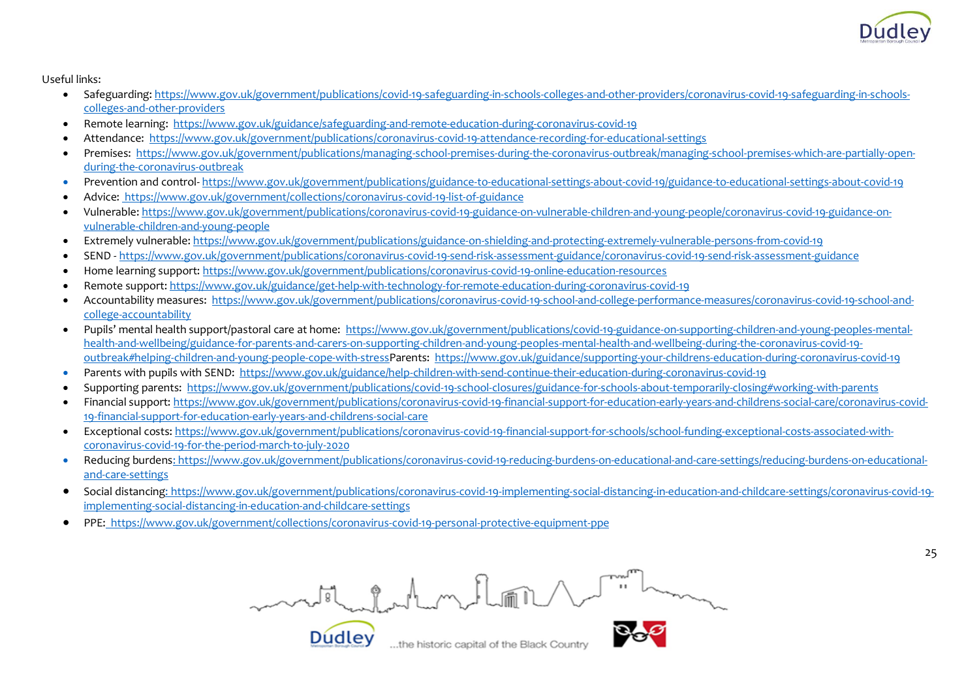

Useful links:

- Safeguarding: [https://www.gov.uk/government/publications/covid-19-safeguarding-in-schools-colleges-and-other-providers/coronavirus-covid-19-safeguarding-in-schools](https://www.gov.uk/government/publications/covid-19-safeguarding-in-schools-colleges-and-other-providers/coronavirus-covid-19-safeguarding-in-schools-colleges-and-other-providers)[colleges-and-other-providers](https://www.gov.uk/government/publications/covid-19-safeguarding-in-schools-colleges-and-other-providers/coronavirus-covid-19-safeguarding-in-schools-colleges-and-other-providers)
- Remote learning:<https://www.gov.uk/guidance/safeguarding-and-remote-education-during-coronavirus-covid-19>
- Attendance:<https://www.gov.uk/government/publications/coronavirus-covid-19-attendance-recording-for-educational-settings>
- Premises: [https://www.gov.uk/government/publications/managing-school-premises-during-the-coronavirus-outbreak/managing-school-premises-which-are-partially-open](https://www.gov.uk/government/publications/managing-school-premises-during-the-coronavirus-outbreak/managing-school-premises-which-are-partially-open-during-the-coronavirus-outbreak)[during-the-coronavirus-outbreak](https://www.gov.uk/government/publications/managing-school-premises-during-the-coronavirus-outbreak/managing-school-premises-which-are-partially-open-during-the-coronavirus-outbreak)
- Prevention and control- <https://www.gov.uk/government/publications/guidance-to-educational-settings-about-covid-19/guidance-to-educational-settings-about-covid-19>
- Advice:<https://www.gov.uk/government/collections/coronavirus-covid-19-list-of-guidance>
- Vulnerable: [https://www.gov.uk/government/publications/coronavirus-covid-19-guidance-on-vulnerable-children-and-young-people/coronavirus-covid-19-guidance-on](https://www.gov.uk/government/publications/coronavirus-covid-19-guidance-on-vulnerable-children-and-young-people/coronavirus-covid-19-guidance-on-vulnerable-children-and-young-people)[vulnerable-children-and-young-people](https://www.gov.uk/government/publications/coronavirus-covid-19-guidance-on-vulnerable-children-and-young-people/coronavirus-covid-19-guidance-on-vulnerable-children-and-young-people)
- Extremely vulnerable[: https://www.gov.uk/government/publications/guidance-on-shielding-and-protecting-extremely-vulnerable-persons-from-covid-19](https://www.gov.uk/government/publications/guidance-on-shielding-and-protecting-extremely-vulnerable-persons-from-covid-19)
- SEND <https://www.gov.uk/government/publications/coronavirus-covid-19-send-risk-assessment-guidance/coronavirus-covid-19-send-risk-assessment-guidance>
- Home learning support:<https://www.gov.uk/government/publications/coronavirus-covid-19-online-education-resources>
- Remote support:<https://www.gov.uk/guidance/get-help-with-technology-for-remote-education-during-coronavirus-covid-19>
- Accountability measures: [https://www.gov.uk/government/publications/coronavirus-covid-19-school-and-college-performance-measures/coronavirus-covid-19-school-and](https://www.gov.uk/government/publications/coronavirus-covid-19-school-and-college-performance-measures/coronavirus-covid-19-school-and-college-accountability)[college-accountability](https://www.gov.uk/government/publications/coronavirus-covid-19-school-and-college-performance-measures/coronavirus-covid-19-school-and-college-accountability)
- Pupils' mental health support/pastoral care at home: [https://www.gov.uk/government/publications/covid-19-guidance-on-supporting-children-and-young-peoples-mental](https://www.gov.uk/government/publications/covid-19-guidance-on-supporting-children-and-young-peoples-mental-health-and-wellbeing/guidance-for-parents-and-carers-on-supporting-children-and-young-peoples-mental-health-and-wellbeing-during-the-coronavirus-covid-19-outbreak#helping-children-and-young-people-cope-with-stress)[health-and-wellbeing/guidance-for-parents-and-carers-on-supporting-children-and-young-peoples-mental-health-and-wellbeing-during-the-coronavirus-covid-19](https://www.gov.uk/government/publications/covid-19-guidance-on-supporting-children-and-young-peoples-mental-health-and-wellbeing/guidance-for-parents-and-carers-on-supporting-children-and-young-peoples-mental-health-and-wellbeing-during-the-coronavirus-covid-19-outbreak#helping-children-and-young-people-cope-with-stress) [outbreak#helping-children-and-young-people-cope-with-stressP](https://www.gov.uk/government/publications/covid-19-guidance-on-supporting-children-and-young-peoples-mental-health-and-wellbeing/guidance-for-parents-and-carers-on-supporting-children-and-young-peoples-mental-health-and-wellbeing-during-the-coronavirus-covid-19-outbreak#helping-children-and-young-people-cope-with-stress)arents:<https://www.gov.uk/guidance/supporting-your-childrens-education-during-coronavirus-covid-19>
- Parents with pupils with SEND:<https://www.gov.uk/guidance/help-children-with-send-continue-their-education-during-coronavirus-covid-19>
- Supporting parents:<https://www.gov.uk/government/publications/covid-19-school-closures/guidance-for-schools-about-temporarily-closing#working-with-parents>
- Financial support: [https://www.gov.uk/government/publications/coronavirus-covid-19-financial-support-for-education-early-years-and-childrens-social-care/coronavirus-covid-](https://www.gov.uk/government/publications/coronavirus-covid-19-financial-support-for-education-early-years-and-childrens-social-care/coronavirus-covid-19-financial-support-for-education-early-years-and-childrens-social-care)[19-financial-support-for-education-early-years-and-childrens-social-care](https://www.gov.uk/government/publications/coronavirus-covid-19-financial-support-for-education-early-years-and-childrens-social-care/coronavirus-covid-19-financial-support-for-education-early-years-and-childrens-social-care)
- Exceptional costs[: https://www.gov.uk/government/publications/coronavirus-covid-19-financial-support-for-schools/school-funding-exceptional-costs-associated-with](https://www.gov.uk/government/publications/coronavirus-covid-19-financial-support-for-schools/school-funding-exceptional-costs-associated-with-coronavirus-covid-19-for-the-period-march-to-july-2020)[coronavirus-covid-19-for-the-period-march-to-july-2020](https://www.gov.uk/government/publications/coronavirus-covid-19-financial-support-for-schools/school-funding-exceptional-costs-associated-with-coronavirus-covid-19-for-the-period-march-to-july-2020)
- Reducing burden[s: https://www.gov.uk/government/publications/coronavirus-covid-19-reducing-burdens-on-educational-and-care-settings/reducing-burdens-on-educational](https://www.gov.uk/government/publications/coronavirus-covid-19-reducing-burdens-on-educational-and-care-settings/reducing-burdens-on-educational-and-care-settings)[and-care-settings](https://www.gov.uk/government/publications/coronavirus-covid-19-reducing-burdens-on-educational-and-care-settings/reducing-burdens-on-educational-and-care-settings)
- Social distancin[g: https://www.gov.uk/government/publications/coronavirus-covid-19-implementing-social-distancing-in-education-and-childcare-settings/coronavirus-covid-19](https://www.gov.uk/government/publications/coronavirus-covid-19-implementing-social-distancing-in-education-and-childcare-settings/coronavirus-covid-19-implementing-social-distancing-in-education-and-childcare-settings) [implementing-social-distancing-in-education-and-childcare-settings](https://www.gov.uk/government/publications/coronavirus-covid-19-implementing-social-distancing-in-education-and-childcare-settings/coronavirus-covid-19-implementing-social-distancing-in-education-and-childcare-settings)
- PPE[: https://www.gov.uk/government/collections/coronavirus-covid-19-personal-protective-equipment-ppe](https://www.gov.uk/government/collections/coronavirus-covid-19-personal-protective-equipment-ppe)

**Dudley** 

must when the floor